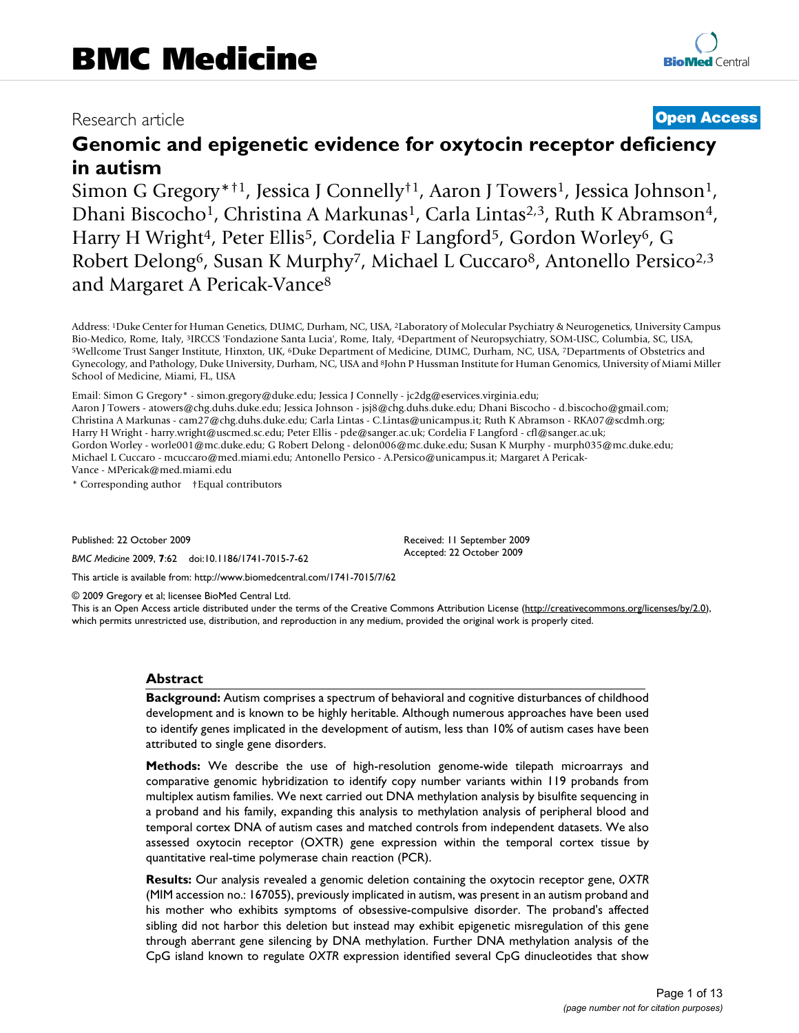# Research article **[Open Access](http://www.biomedcentral.com/info/about/charter/)**

# **Genomic and epigenetic evidence for oxytocin receptor deficiency in autism**

Simon G Gregory\*<sup>†1</sup>, Jessica J Connelly<sup>†1</sup>, Aaron J Towers<sup>1</sup>, Jessica Johnson<sup>1</sup>, Dhani Biscocho<sup>1</sup>, Christina A Markunas<sup>1</sup>, Carla Lintas<sup>2,3</sup>, Ruth K Abramson<sup>4</sup>, Harry H Wright<sup>4</sup>, Peter Ellis<sup>5</sup>, Cordelia F Langford<sup>5</sup>, Gordon Worley<sup>6</sup>, G Robert Delong<sup>6</sup>, Susan K Murphy<sup>7</sup>, Michael L Cuccaro<sup>8</sup>, Antonello Persico<sup>2,3</sup> and Margaret A Pericak-Vance8

Address: <sup>1</sup>Duke Center for Human Genetics, DUMC, Durham, NC, USA, <sup>2</sup>Laboratory of Molecular Psychiatry & Neurogenetics, University Campus<br>Bio-Medico, Rome, Italy, <sup>3</sup>IRCCS 'Fondazione Santa Lucia', Rome, Italy, <sup>4</sup>Depart <sup>5</sup>Wellcome Trust Sanger Institute, Hinxton, UK, <sup>6</sup>Duke Department of Medicine, DUMC, Durham, NC, USA, <sup>7</sup>Departments of Obstetrics and Gynecology, and Pathology, Duke University, Durham, NC, USA and 8John P Hussman Institute for Human Genomics, University of Miami Miller School of Medicine, Miami, FL, USA

Email: Simon G Gregory\* - simon.gregory@duke.edu; Jessica J Connelly - jc2dg@eservices.virginia.edu;

Aaron J Towers - atowers@chg.duhs.duke.edu; Jessica Johnson - jsj8@chg.duhs.duke.edu; Dhani Biscocho - d.biscocho@gmail.com; Christina A Markunas - cam27@chg.duhs.duke.edu; Carla Lintas - C.Lintas@unicampus.it; Ruth K Abramson - RKA07@scdmh.org; Harry H Wright - harry.wright@uscmed.sc.edu; Peter Ellis - pde@sanger.ac.uk; Cordelia F Langford - cfl@sanger.ac.uk; Gordon Worley - worle001@mc.duke.edu; G Robert Delong - delon006@mc.duke.edu; Susan K Murphy - murph035@mc.duke.edu; Michael L Cuccaro - mcuccaro@med.miami.edu; Antonello Persico - A.Persico@unicampus.it; Margaret A Pericak-Vance - MPericak@med.miami.edu

\* Corresponding author †Equal contributors

Published: 22 October 2009

*BMC Medicine* 2009, **7**:62 doi:10.1186/1741-7015-7-62

Received: 11 September 2009 Accepted: 22 October 2009

[This article is available from: http://www.biomedcentral.com/1741-7015/7/62](http://www.biomedcentral.com/1741-7015/7/62)

© 2009 Gregory et al; licensee BioMed Central Ltd.

This is an Open Access article distributed under the terms of the Creative Commons Attribution License [\(http://creativecommons.org/licenses/by/2.0\)](http://creativecommons.org/licenses/by/2.0), which permits unrestricted use, distribution, and reproduction in any medium, provided the original work is properly cited.

## **Abstract**

**Background:** Autism comprises a spectrum of behavioral and cognitive disturbances of childhood development and is known to be highly heritable. Although numerous approaches have been used to identify genes implicated in the development of autism, less than 10% of autism cases have been attributed to single gene disorders.

**Methods:** We describe the use of high-resolution genome-wide tilepath microarrays and comparative genomic hybridization to identify copy number variants within 119 probands from multiplex autism families. We next carried out DNA methylation analysis by bisulfite sequencing in a proband and his family, expanding this analysis to methylation analysis of peripheral blood and temporal cortex DNA of autism cases and matched controls from independent datasets. We also assessed oxytocin receptor (OXTR) gene expression within the temporal cortex tissue by quantitative real-time polymerase chain reaction (PCR).

**Results:** Our analysis revealed a genomic deletion containing the oxytocin receptor gene, *OXTR* (MIM accession no.: 167055), previously implicated in autism, was present in an autism proband and his mother who exhibits symptoms of obsessive-compulsive disorder. The proband's affected sibling did not harbor this deletion but instead may exhibit epigenetic misregulation of this gene through aberrant gene silencing by DNA methylation. Further DNA methylation analysis of the CpG island known to regulate *OXTR* expression identified several CpG dinucleotides that show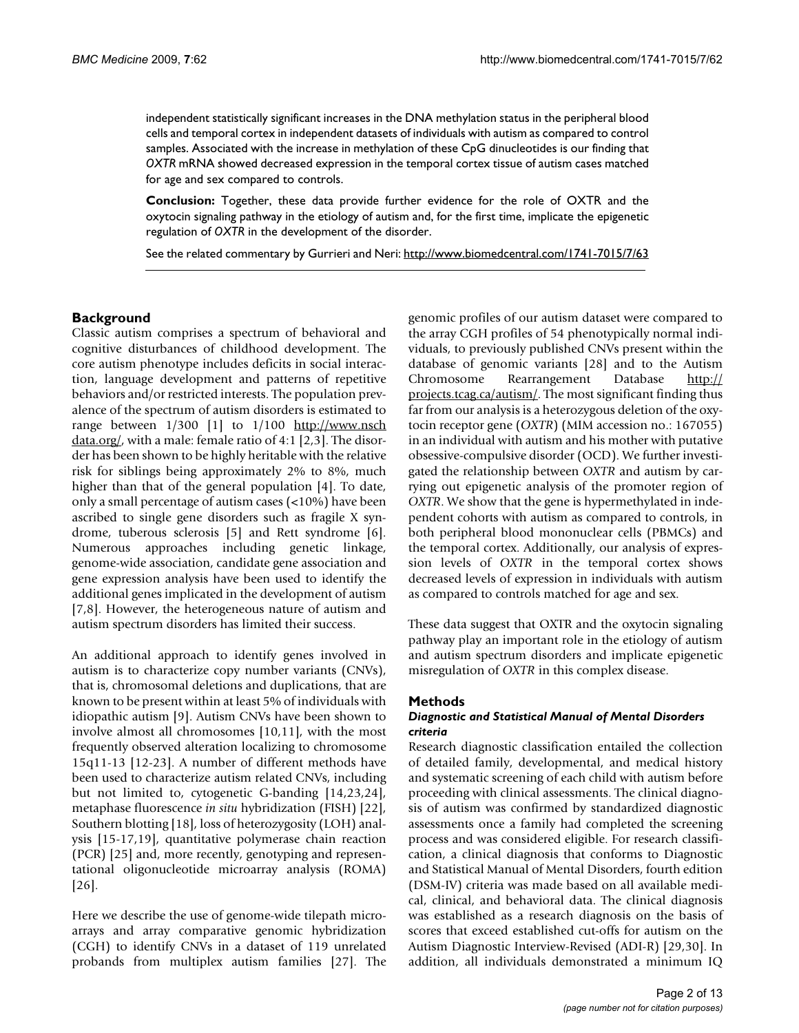independent statistically significant increases in the DNA methylation status in the peripheral blood cells and temporal cortex in independent datasets of individuals with autism as compared to control samples. Associated with the increase in methylation of these CpG dinucleotides is our finding that *OXTR* mRNA showed decreased expression in the temporal cortex tissue of autism cases matched for age and sex compared to controls.

**Conclusion:** Together, these data provide further evidence for the role of OXTR and the oxytocin signaling pathway in the etiology of autism and, for the first time, implicate the epigenetic regulation of *OXTR* in the development of the disorder.

See the related commentary by Gurrieri and Neri:<http://www.biomedcentral.com/1741-7015/7/63>

## **Background**

Classic autism comprises a spectrum of behavioral and cognitive disturbances of childhood development. The core autism phenotype includes deficits in social interaction, language development and patterns of repetitive behaviors and/or restricted interests. The population prevalence of the spectrum of autism disorders is estimated to range between  $1/300$  [1] to  $1/100$  [http://www.nsch](http://www.nschdata.org/) [data.org/,](http://www.nschdata.org/) with a male: female ratio of 4:1 [2,3]. The disorder has been shown to be highly heritable with the relative risk for siblings being approximately 2% to 8%, much higher than that of the general population [4]. To date, only a small percentage of autism cases (<10%) have been ascribed to single gene disorders such as fragile X syndrome, tuberous sclerosis [5] and Rett syndrome [6]. Numerous approaches including genetic linkage, genome-wide association, candidate gene association and gene expression analysis have been used to identify the additional genes implicated in the development of autism [7,8]. However, the heterogeneous nature of autism and autism spectrum disorders has limited their success.

An additional approach to identify genes involved in autism is to characterize copy number variants (CNVs), that is, chromosomal deletions and duplications, that are known to be present within at least 5% of individuals with idiopathic autism [9]. Autism CNVs have been shown to involve almost all chromosomes [10,11], with the most frequently observed alteration localizing to chromosome 15q11-13 [12-23]. A number of different methods have been used to characterize autism related CNVs, including but not limited to, cytogenetic G-banding [14,23,24], metaphase fluorescence *in situ* hybridization (FISH) [22], Southern blotting [18], loss of heterozygosity (LOH) analysis [15-17,19], quantitative polymerase chain reaction (PCR) [25] and, more recently, genotyping and representational oligonucleotide microarray analysis (ROMA) [26].

Here we describe the use of genome-wide tilepath microarrays and array comparative genomic hybridization (CGH) to identify CNVs in a dataset of 119 unrelated probands from multiplex autism families [27]. The genomic profiles of our autism dataset were compared to the array CGH profiles of 54 phenotypically normal individuals, to previously published CNVs present within the database of genomic variants [28] and to the Autism Chromosome Rearrangement Database [http://](http://projects.tcag.ca/autism/) [projects.tcag.ca/autism/](http://projects.tcag.ca/autism/). The most significant finding thus far from our analysis is a heterozygous deletion of the oxytocin receptor gene (*OXTR*) (MIM accession no.: 167055) in an individual with autism and his mother with putative obsessive-compulsive disorder (OCD). We further investigated the relationship between *OXTR* and autism by carrying out epigenetic analysis of the promoter region of *OXTR*. We show that the gene is hypermethylated in independent cohorts with autism as compared to controls, in both peripheral blood mononuclear cells (PBMCs) and the temporal cortex. Additionally, our analysis of expression levels of *OXTR* in the temporal cortex shows decreased levels of expression in individuals with autism as compared to controls matched for age and sex.

These data suggest that OXTR and the oxytocin signaling pathway play an important role in the etiology of autism and autism spectrum disorders and implicate epigenetic misregulation of *OXTR* in this complex disease.

## **Methods**

## *Diagnostic and Statistical Manual of Mental Disorders criteria*

Research diagnostic classification entailed the collection of detailed family, developmental, and medical history and systematic screening of each child with autism before proceeding with clinical assessments. The clinical diagnosis of autism was confirmed by standardized diagnostic assessments once a family had completed the screening process and was considered eligible. For research classification, a clinical diagnosis that conforms to Diagnostic and Statistical Manual of Mental Disorders, fourth edition (DSM-IV) criteria was made based on all available medical, clinical, and behavioral data. The clinical diagnosis was established as a research diagnosis on the basis of scores that exceed established cut-offs for autism on the Autism Diagnostic Interview-Revised (ADI-R) [29,30]. In addition, all individuals demonstrated a minimum IQ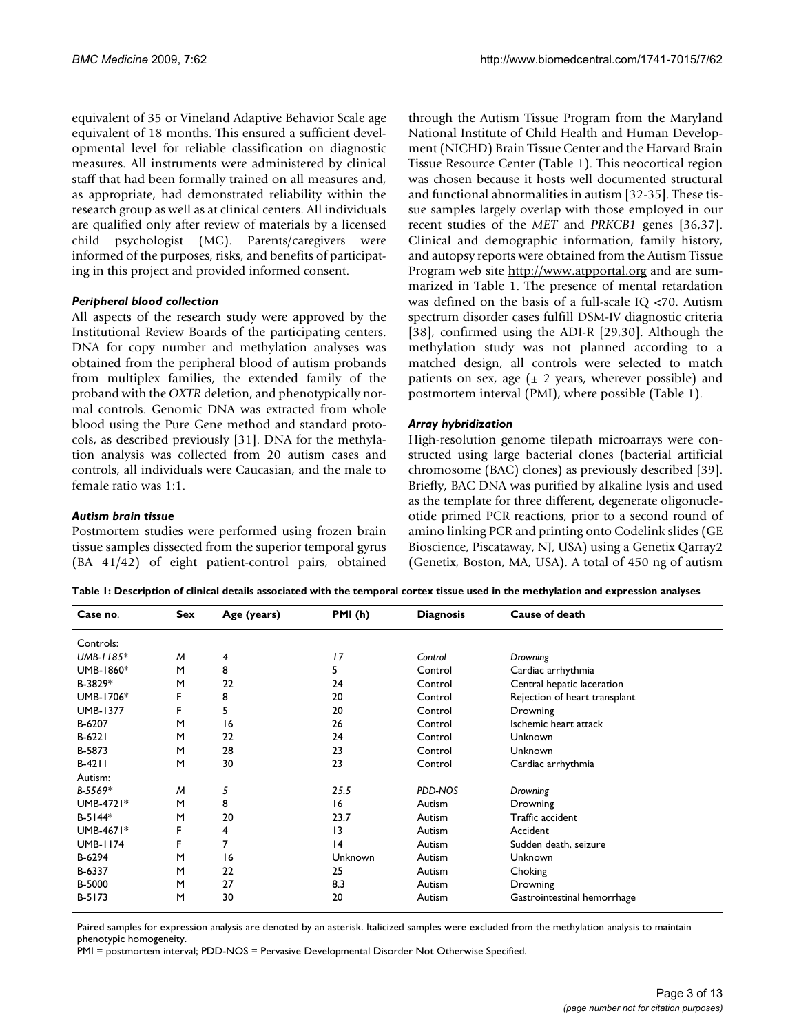equivalent of 35 or Vineland Adaptive Behavior Scale age equivalent of 18 months. This ensured a sufficient developmental level for reliable classification on diagnostic measures. All instruments were administered by clinical staff that had been formally trained on all measures and, as appropriate, had demonstrated reliability within the research group as well as at clinical centers. All individuals are qualified only after review of materials by a licensed child psychologist (MC). Parents/caregivers were informed of the purposes, risks, and benefits of participating in this project and provided informed consent.

## *Peripheral blood collection*

All aspects of the research study were approved by the Institutional Review Boards of the participating centers. DNA for copy number and methylation analyses was obtained from the peripheral blood of autism probands from multiplex families, the extended family of the proband with the *OXTR* deletion, and phenotypically normal controls. Genomic DNA was extracted from whole blood using the Pure Gene method and standard protocols, as described previously [31]. DNA for the methylation analysis was collected from 20 autism cases and controls, all individuals were Caucasian, and the male to female ratio was 1:1.

## *Autism brain tissue*

Postmortem studies were performed using frozen brain tissue samples dissected from the superior temporal gyrus (BA 41/42) of eight patient-control pairs, obtained

through the Autism Tissue Program from the Maryland National Institute of Child Health and Human Development (NICHD) Brain Tissue Center and the Harvard Brain Tissue Resource Center (Table 1). This neocortical region was chosen because it hosts well documented structural and functional abnormalities in autism [32-35]. These tissue samples largely overlap with those employed in our recent studies of the *MET* and *PRKCB1* genes [36,37]. Clinical and demographic information, family history, and autopsy reports were obtained from the Autism Tissue Program web site <http://www.atpportal.org>and are summarized in Table 1. The presence of mental retardation was defined on the basis of a full-scale IQ <70. Autism spectrum disorder cases fulfill DSM-IV diagnostic criteria [38], confirmed using the ADI-R [29,30]. Although the methylation study was not planned according to a matched design, all controls were selected to match patients on sex, age  $(\pm 2 \text{ years}, \text{ wherever possible})$  and postmortem interval (PMI), where possible (Table 1).

## *Array hybridization*

High-resolution genome tilepath microarrays were constructed using large bacterial clones (bacterial artificial chromosome (BAC) clones) as previously described [39]. Briefly, BAC DNA was purified by alkaline lysis and used as the template for three different, degenerate oligonucleotide primed PCR reactions, prior to a second round of amino linking PCR and printing onto Codelink slides (GE Bioscience, Piscataway, NJ, USA) using a Genetix Qarray2 (Genetix, Boston, MA, USA). A total of 450 ng of autism

| Case no.        | Sex | Age (years) | PMI(h)  | <b>Diagnosis</b> | Cause of death                |
|-----------------|-----|-------------|---------|------------------|-------------------------------|
| Controls:       |     |             |         |                  |                               |
| UMB-1185*       | M   | 4           | 17      | Control          | Drowning                      |
| UMB-1860*       | M   | 8           | 5       | Control          | Cardiac arrhythmia            |
| B-3829*         | M   | 22          | 24      | Control          | Central hepatic laceration    |
| UMB-1706*       | F   | 8           | 20      | Control          | Rejection of heart transplant |
| <b>UMB-1377</b> | F   | 5           | 20      | Control          | Drowning                      |
| B-6207          | M   | 16          | 26      | Control          | Ischemic heart attack         |
| $B-622I$        | M   | 22          | 24      | Control          | Unknown                       |
| B-5873          | M   | 28          | 23      | Control          | Unknown                       |
| $B-4211$        | M   | 30          | 23      | Control          | Cardiac arrhythmia            |
| Autism:         |     |             |         |                  |                               |
| $B-5569*$       | M   | 5           | 25.5    | PDD-NOS          | Drowning                      |
| UMB-4721*       | M   | 8           | 16      | Autism           | Drowning                      |
| $B-5144*$       | M   | 20          | 23.7    | Autism           | Traffic accident              |
| UMB-4671*       | F   | 4           | 13      | Autism           | Accident                      |
| <b>UMB-1174</b> | F   | 7           | 4       | Autism           | Sudden death, seizure         |
| B-6294          | M   | 16          | Unknown | Autism           | Unknown                       |
| B-6337          | M   | 22          | 25      | Autism           | Choking                       |
| B-5000          | M   | 27          | 8.3     | Autism           | Drowning                      |
| $B-5173$        | M   | 30          | 20      | Autism           | Gastrointestinal hemorrhage   |

**Table 1: Description of clinical details associated with the temporal cortex tissue used in the methylation and expression analyses**

Paired samples for expression analysis are denoted by an asterisk. Italicized samples were excluded from the methylation analysis to maintain phenotypic homogeneity.

PMI = postmortem interval; PDD-NOS = Pervasive Developmental Disorder Not Otherwise Specified.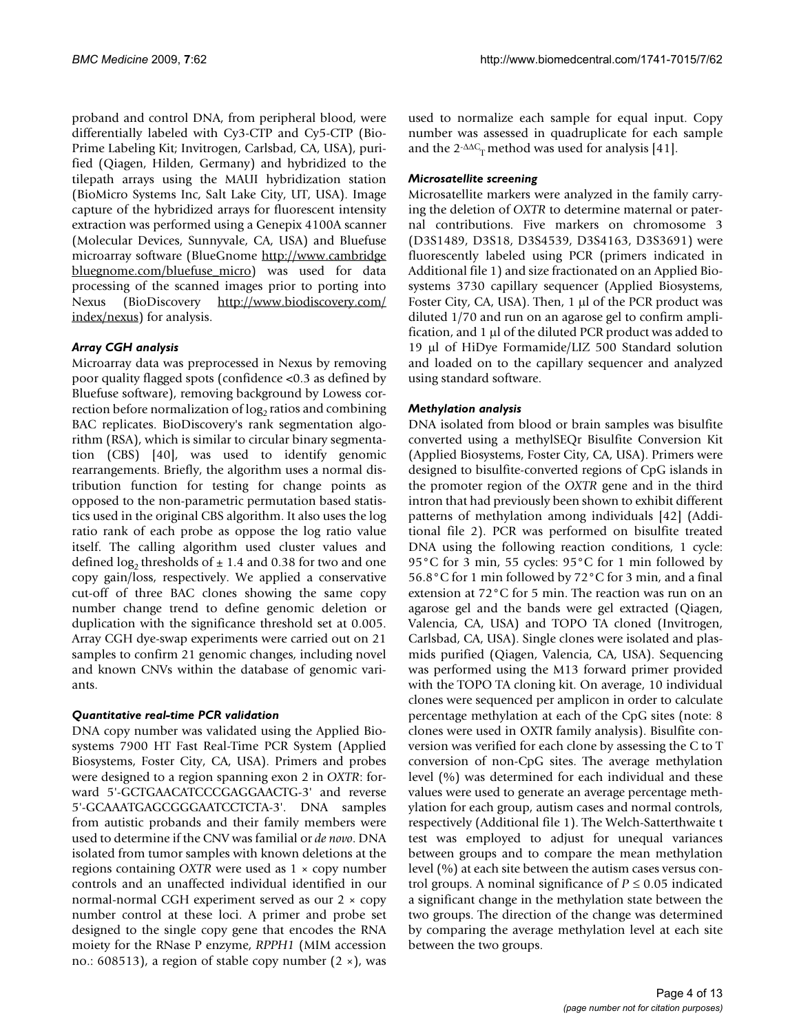proband and control DNA, from peripheral blood, were differentially labeled with Cy3-CTP and Cy5-CTP (Bio-Prime Labeling Kit; Invitrogen, Carlsbad, CA, USA), purified (Qiagen, Hilden, Germany) and hybridized to the tilepath arrays using the MAUI hybridization station (BioMicro Systems Inc, Salt Lake City, UT, USA). Image capture of the hybridized arrays for fluorescent intensity extraction was performed using a Genepix 4100A scanner (Molecular Devices, Sunnyvale, CA, USA) and Bluefuse microarray software (BlueGnome [http://www.cambridge](http://www.cambridgebluegnome.com/bluefuse_micro) [bluegnome.com/bluefuse\\_micro](http://www.cambridgebluegnome.com/bluefuse_micro)) was used for data processing of the scanned images prior to porting into Nexus (BioDiscovery [http://www.biodiscovery.com/](http://www.biodiscovery.com/index/nexus) [index/nexus](http://www.biodiscovery.com/index/nexus)) for analysis.

## *Array CGH analysis*

Microarray data was preprocessed in Nexus by removing poor quality flagged spots (confidence <0.3 as defined by Bluefuse software), removing background by Lowess correction before normalization of  $log<sub>2</sub>$  ratios and combining BAC replicates. BioDiscovery's rank segmentation algorithm (RSA), which is similar to circular binary segmentation (CBS) [40], was used to identify genomic rearrangements. Briefly, the algorithm uses a normal distribution function for testing for change points as opposed to the non-parametric permutation based statistics used in the original CBS algorithm. It also uses the log ratio rank of each probe as oppose the log ratio value itself. The calling algorithm used cluster values and defined  $\log_2$  thresholds of  $\pm$  1.4 and 0.38 for two and one copy gain/loss, respectively. We applied a conservative cut-off of three BAC clones showing the same copy number change trend to define genomic deletion or duplication with the significance threshold set at 0.005. Array CGH dye-swap experiments were carried out on 21 samples to confirm 21 genomic changes, including novel and known CNVs within the database of genomic variants.

## *Quantitative real-time PCR validation*

DNA copy number was validated using the Applied Biosystems 7900 HT Fast Real-Time PCR System (Applied Biosystems, Foster City, CA, USA). Primers and probes were designed to a region spanning exon 2 in *OXTR*: forward 5'-GCTGAACATCCCGAGGAACTG-3' and reverse 5'-GCAAATGAGCGGGAATCCTCTA-3'. DNA samples from autistic probands and their family members were used to determine if the CNV was familial or *de novo*. DNA isolated from tumor samples with known deletions at the regions containing *OXTR* were used as 1 × copy number controls and an unaffected individual identified in our normal-normal CGH experiment served as our 2 × copy number control at these loci. A primer and probe set designed to the single copy gene that encodes the RNA moiety for the RNase P enzyme, *RPPH1* (MIM accession no.: 608513), a region of stable copy number  $(2 \times)$ , was

used to normalize each sample for equal input. Copy number was assessed in quadruplicate for each sample and the  $2$ <sup>- $\Delta$  $\alpha$ <sub>T</sub> method was used for analysis [41].</sup>

## *Microsatellite screening*

Microsatellite markers were analyzed in the family carrying the deletion of *OXTR* to determine maternal or paternal contributions. Five markers on chromosome 3 (D3S1489, D3S18, D3S4539, D3S4163, D3S3691) were fluorescently labeled using PCR (primers indicated in Additional file 1) and size fractionated on an Applied Biosystems 3730 capillary sequencer (Applied Biosystems, Foster City, CA, USA). Then, 1 μl of the PCR product was diluted 1/70 and run on an agarose gel to confirm amplification, and 1 μl of the diluted PCR product was added to 19 μl of HiDye Formamide/LIZ 500 Standard solution and loaded on to the capillary sequencer and analyzed using standard software.

## *Methylation analysis*

DNA isolated from blood or brain samples was bisulfite converted using a methylSEQr Bisulfite Conversion Kit (Applied Biosystems, Foster City, CA, USA). Primers were designed to bisulfite-converted regions of CpG islands in the promoter region of the *OXTR* gene and in the third intron that had previously been shown to exhibit different patterns of methylation among individuals [42] (Additional file 2). PCR was performed on bisulfite treated DNA using the following reaction conditions, 1 cycle: 95°C for 3 min, 55 cycles: 95°C for 1 min followed by 56.8°C for 1 min followed by 72°C for 3 min, and a final extension at 72°C for 5 min. The reaction was run on an agarose gel and the bands were gel extracted (Qiagen, Valencia, CA, USA) and TOPO TA cloned (Invitrogen, Carlsbad, CA, USA). Single clones were isolated and plasmids purified (Qiagen, Valencia, CA, USA). Sequencing was performed using the M13 forward primer provided with the TOPO TA cloning kit. On average, 10 individual clones were sequenced per amplicon in order to calculate percentage methylation at each of the CpG sites (note: 8 clones were used in OXTR family analysis). Bisulfite conversion was verified for each clone by assessing the C to T conversion of non-CpG sites. The average methylation level (%) was determined for each individual and these values were used to generate an average percentage methylation for each group, autism cases and normal controls, respectively (Additional file 1). The Welch-Satterthwaite t test was employed to adjust for unequal variances between groups and to compare the mean methylation level (%) at each site between the autism cases versus control groups. A nominal significance of  $P \leq 0.05$  indicated a significant change in the methylation state between the two groups. The direction of the change was determined by comparing the average methylation level at each site between the two groups.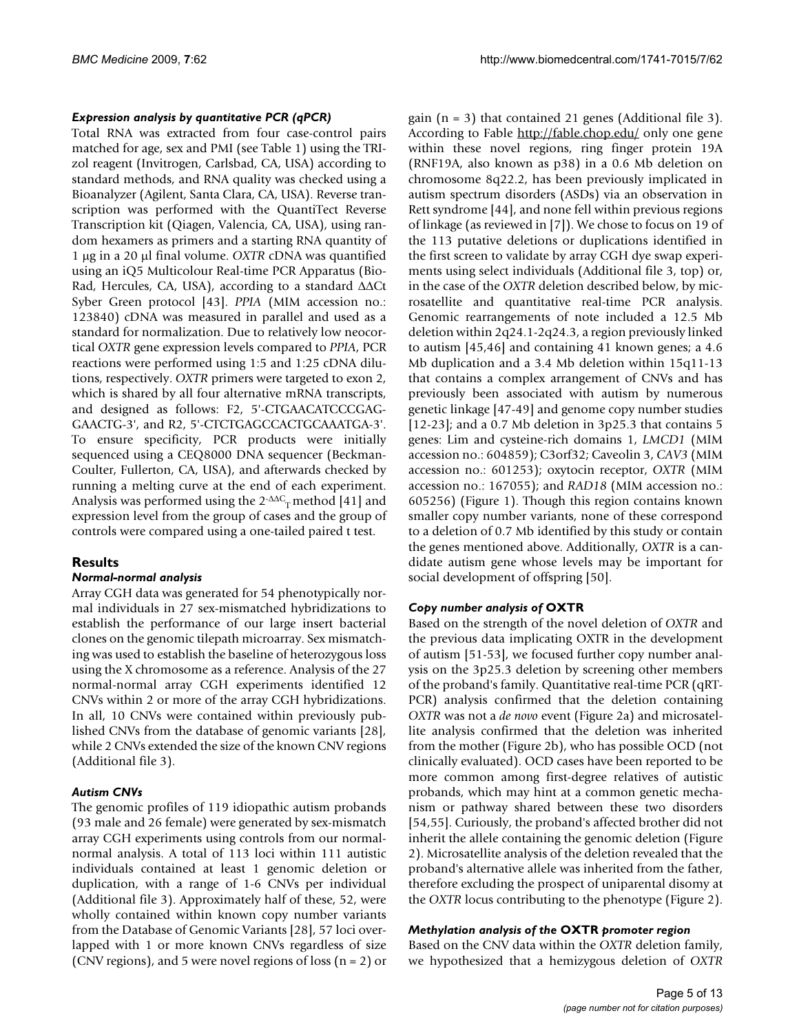## *Expression analysis by quantitative PCR (qPCR)*

Total RNA was extracted from four case-control pairs matched for age, sex and PMI (see Table 1) using the TRIzol reagent (Invitrogen, Carlsbad, CA, USA) according to standard methods, and RNA quality was checked using a Bioanalyzer (Agilent, Santa Clara, CA, USA). Reverse transcription was performed with the QuantiTect Reverse Transcription kit (Qiagen, Valencia, CA, USA), using random hexamers as primers and a starting RNA quantity of 1 μg in a 20 μl final volume. *OXTR* cDNA was quantified using an iQ5 Multicolour Real-time PCR Apparatus (Bio-Rad, Hercules, CA, USA), according to a standard ΔΔCt Syber Green protocol [43]. *PPIA* (MIM accession no.: 123840) cDNA was measured in parallel and used as a standard for normalization. Due to relatively low neocortical *OXTR* gene expression levels compared to *PPIA*, PCR reactions were performed using 1:5 and 1:25 cDNA dilutions, respectively. *OXTR* primers were targeted to exon 2, which is shared by all four alternative mRNA transcripts, and designed as follows: F2, 5'-CTGAACATCCCGAG-GAACTG-3', and R2, 5'-CTCTGAGCCACTGCAAATGA-3'. To ensure specificity, PCR products were initially sequenced using a CEQ8000 DNA sequencer (Beckman-Coulter, Fullerton, CA, USA), and afterwards checked by running a melting curve at the end of each experiment. Analysis was performed using the  $2$ <sup>- $\Delta$  $\Delta$ C<sub>T</sub> method [41] and</sup> expression level from the group of cases and the group of controls were compared using a one-tailed paired t test.

## **Results**

## *Normal-normal analysis*

Array CGH data was generated for 54 phenotypically normal individuals in 27 sex-mismatched hybridizations to establish the performance of our large insert bacterial clones on the genomic tilepath microarray. Sex mismatching was used to establish the baseline of heterozygous loss using the X chromosome as a reference. Analysis of the 27 normal-normal array CGH experiments identified 12 CNVs within 2 or more of the array CGH hybridizations. In all, 10 CNVs were contained within previously published CNVs from the database of genomic variants [28], while 2 CNVs extended the size of the known CNV regions (Additional file 3).

## *Autism CNVs*

The genomic profiles of 119 idiopathic autism probands (93 male and 26 female) were generated by sex-mismatch array CGH experiments using controls from our normalnormal analysis. A total of 113 loci within 111 autistic individuals contained at least 1 genomic deletion or duplication, with a range of 1-6 CNVs per individual (Additional file 3). Approximately half of these, 52, were wholly contained within known copy number variants from the Database of Genomic Variants [28], 57 loci overlapped with 1 or more known CNVs regardless of size (CNV regions), and 5 were novel regions of loss  $(n = 2)$  or gain (n = 3) that contained 21 genes (Additional file 3). According to Fable <http://fable.chop.edu/>only one gene within these novel regions, ring finger protein 19A (RNF19A, also known as p38) in a 0.6 Mb deletion on chromosome 8q22.2, has been previously implicated in autism spectrum disorders (ASDs) via an observation in Rett syndrome [44], and none fell within previous regions of linkage (as reviewed in [7]). We chose to focus on 19 of the 113 putative deletions or duplications identified in the first screen to validate by array CGH dye swap experiments using select individuals (Additional file 3, top) or, in the case of the *OXTR* deletion described below, by microsatellite and quantitative real-time PCR analysis. Genomic rearrangements of note included a 12.5 Mb deletion within 2q24.1-2q24.3, a region previously linked to autism [45,46] and containing 41 known genes; a 4.6 Mb duplication and a 3.4 Mb deletion within 15q11-13 that contains a complex arrangement of CNVs and has previously been associated with autism by numerous genetic linkage [47-49] and genome copy number studies [12-23]; and a 0.7 Mb deletion in 3p25.3 that contains 5 genes: Lim and cysteine-rich domains 1, *LMCD1* (MIM accession no.: 604859); C3orf32; Caveolin 3, *CAV3* (MIM accession no.: 601253); oxytocin receptor, *OXTR* (MIM accession no.: 167055); and *RAD18* (MIM accession no.: 605256) (Figure 1). Though this region contains known smaller copy number variants, none of these correspond to a deletion of 0.7 Mb identified by this study or contain the genes mentioned above. Additionally, *OXTR* is a candidate autism gene whose levels may be important for social development of offspring [50].

## *Copy number analysis of* **OXTR**

Based on the strength of the novel deletion of *OXTR* and the previous data implicating OXTR in the development of autism [51-53], we focused further copy number analysis on the 3p25.3 deletion by screening other members of the proband's family. Quantitative real-time PCR (qRT-PCR) analysis confirmed that the deletion containing *OXTR* was not a *de novo* event (Figure 2a) and microsatellite analysis confirmed that the deletion was inherited from the mother (Figure 2b), who has possible OCD (not clinically evaluated). OCD cases have been reported to be more common among first-degree relatives of autistic probands, which may hint at a common genetic mechanism or pathway shared between these two disorders [54,55]. Curiously, the proband's affected brother did not inherit the allele containing the genomic deletion (Figure 2). Microsatellite analysis of the deletion revealed that the proband's alternative allele was inherited from the father, therefore excluding the prospect of uniparental disomy at the *OXTR* locus contributing to the phenotype (Figure 2).

## *Methylation analysis of the* **OXTR** *promoter region*

Based on the CNV data within the *OXTR* deletion family, we hypothesized that a hemizygous deletion of *OXTR*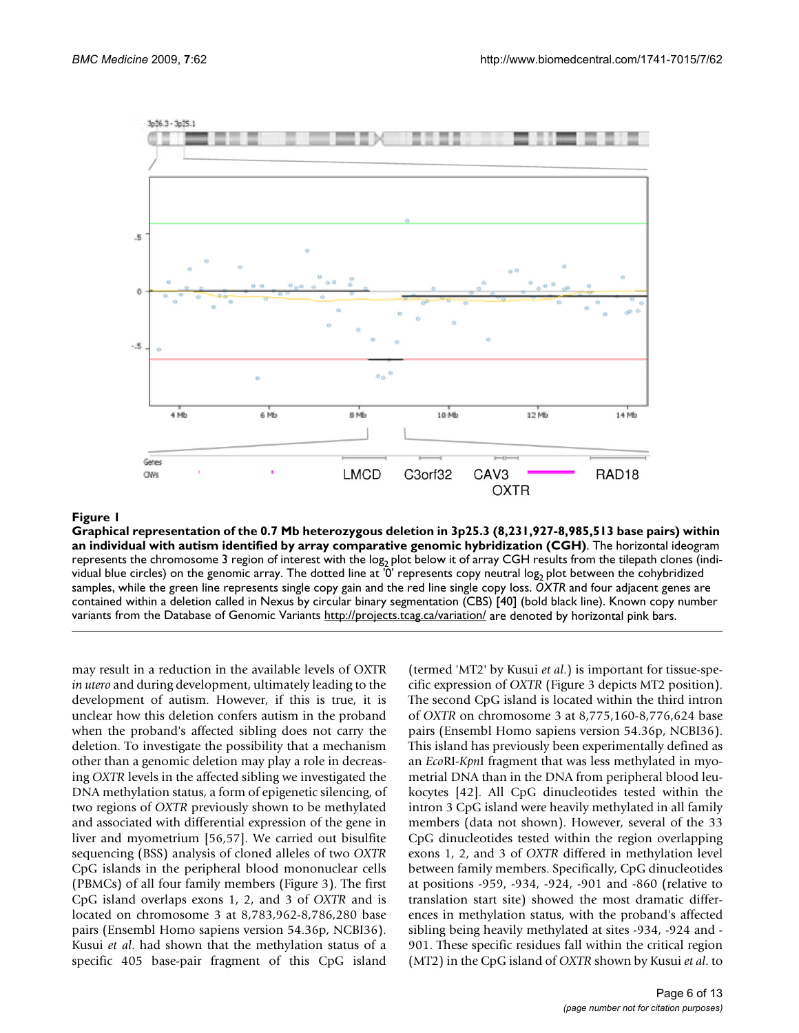

## Graphical representation of the 0.7 Mb he with autism identified by array comparative genomic hybridization (CGH) **Figure 1** terozygous deletion in 3p25.3 (8,231,927-8,985,513 base pairs) within an individual

**Graphical representation of the 0.7 Mb heterozygous deletion in 3p25.3 (8,231,927-8,985,513 base pairs) within an individual with autism identified by array comparative genomic hybridization (CGH)**. The horizontal ideogram represents the chromosome 3 region of interest with the log<sub>2</sub> plot below it of array CGH results from the tilepath clones (individual blue circles) on the genomic array. The dotted line at '0' represents copy neutral log<sub>2</sub> plot between the cohybridized samples, while the green line represents single copy gain and the red line single copy loss. *OXTR* and four adjacent genes are contained within a deletion called in Nexus by circular binary segmentation (CBS) [40] (bold black line). Known copy number variants from the Database of Genomic Variants <http://projects.tcag.ca/variation/>are denoted by horizontal pink bars.

may result in a reduction in the available levels of OXTR *in utero* and during development, ultimately leading to the development of autism. However, if this is true, it is unclear how this deletion confers autism in the proband when the proband's affected sibling does not carry the deletion. To investigate the possibility that a mechanism other than a genomic deletion may play a role in decreasing *OXTR* levels in the affected sibling we investigated the DNA methylation status, a form of epigenetic silencing, of two regions of *OXTR* previously shown to be methylated and associated with differential expression of the gene in liver and myometrium [56,57]. We carried out bisulfite sequencing (BSS) analysis of cloned alleles of two *OXTR* CpG islands in the peripheral blood mononuclear cells (PBMCs) of all four family members (Figure 3). The first CpG island overlaps exons 1, 2, and 3 of *OXTR* and is located on chromosome 3 at 8,783,962-8,786,280 base pairs (Ensembl Homo sapiens version 54.36p, NCBI36). Kusui *et al*. had shown that the methylation status of a specific 405 base-pair fragment of this CpG island

(termed 'MT2' by Kusui *et al*.) is important for tissue-specific expression of *OXTR* (Figure 3 depicts MT2 position). The second CpG island is located within the third intron of *OXTR* on chromosome 3 at 8,775,160-8,776,624 base pairs (Ensembl Homo sapiens version 54.36p, NCBI36). This island has previously been experimentally defined as an *Eco*RI-*Kpn*I fragment that was less methylated in myometrial DNA than in the DNA from peripheral blood leukocytes [42]. All CpG dinucleotides tested within the intron 3 CpG island were heavily methylated in all family members (data not shown). However, several of the 33 CpG dinucleotides tested within the region overlapping exons 1, 2, and 3 of *OXTR* differed in methylation level between family members. Specifically, CpG dinucleotides at positions -959, -934, -924, -901 and -860 (relative to translation start site) showed the most dramatic differences in methylation status, with the proband's affected sibling being heavily methylated at sites -934, -924 and - 901. These specific residues fall within the critical region (MT2) in the CpG island of *OXTR* shown by Kusui *et al*. to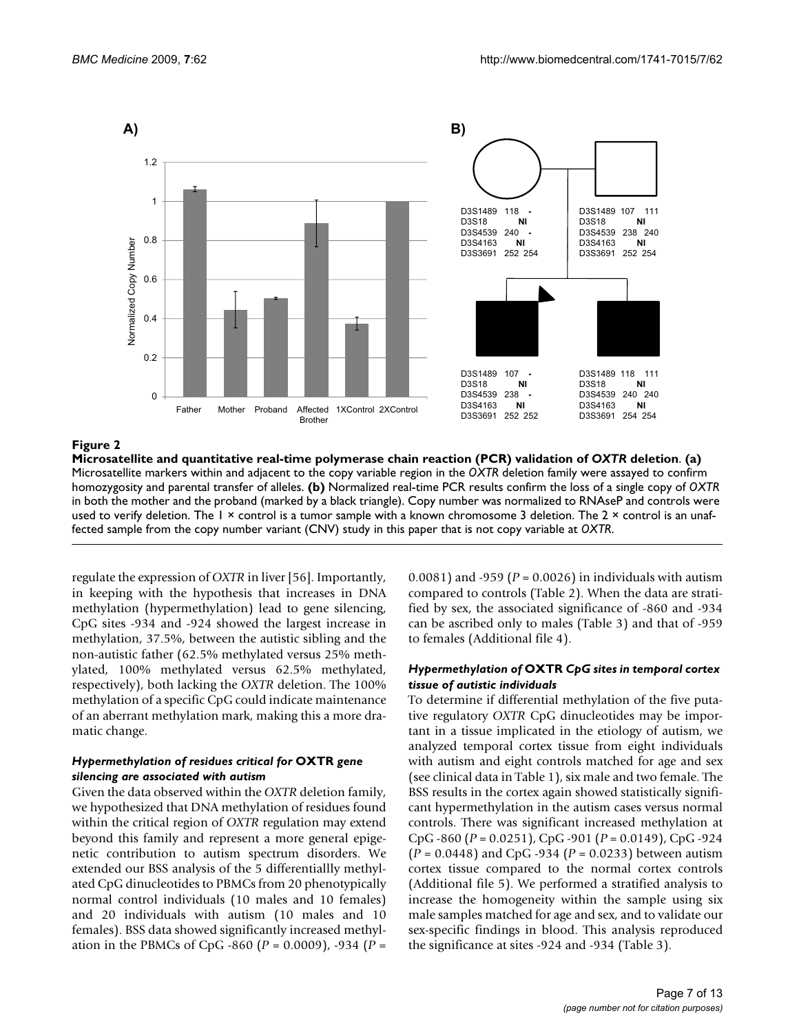

### Microsatellite and quantitative real-time poly **Figure 2** merase chain reaction (PCR) validation of *OXTR* deletion

**Microsatellite and quantitative real-time polymerase chain reaction (PCR) validation of** *OXTR* **deletion**. **(a)**  Microsatellite markers within and adjacent to the copy variable region in the *OXTR* deletion family were assayed to confirm homozygosity and parental transfer of alleles. **(b)** Normalized real-time PCR results confirm the loss of a single copy of *OXTR*  in both the mother and the proband (marked by a black triangle). Copy number was normalized to RNAseP and controls were used to verify deletion. The 1 × control is a tumor sample with a known chromosome 3 deletion. The 2 × control is an unaffected sample from the copy number variant (CNV) study in this paper that is not copy variable at *OXTR*.

regulate the expression of *OXTR* in liver [56]. Importantly, in keeping with the hypothesis that increases in DNA methylation (hypermethylation) lead to gene silencing, CpG sites -934 and -924 showed the largest increase in methylation, 37.5%, between the autistic sibling and the non-autistic father (62.5% methylated versus 25% methylated, 100% methylated versus 62.5% methylated, respectively), both lacking the *OXTR* deletion. The 100% methylation of a specific CpG could indicate maintenance of an aberrant methylation mark, making this a more dramatic change.

## *Hypermethylation of residues critical for* **OXTR** *gene silencing are associated with autism*

Given the data observed within the *OXTR* deletion family, we hypothesized that DNA methylation of residues found within the critical region of *OXTR* regulation may extend beyond this family and represent a more general epigenetic contribution to autism spectrum disorders. We extended our BSS analysis of the 5 differentiallly methylated CpG dinucleotides to PBMCs from 20 phenotypically normal control individuals (10 males and 10 females) and 20 individuals with autism (10 males and 10 females). BSS data showed significantly increased methylation in the PBMCs of CpG -860 (*P* = 0.0009), -934 (*P* =

0.0081) and -959 (*P* = 0.0026) in individuals with autism compared to controls (Table 2). When the data are stratified by sex, the associated significance of -860 and -934 can be ascribed only to males (Table 3) and that of -959 to females (Additional file 4).

## *Hypermethylation of* **OXTR** *CpG sites in temporal cortex tissue of autistic individuals*

To determine if differential methylation of the five putative regulatory *OXTR* CpG dinucleotides may be important in a tissue implicated in the etiology of autism, we analyzed temporal cortex tissue from eight individuals with autism and eight controls matched for age and sex (see clinical data in Table 1), six male and two female. The BSS results in the cortex again showed statistically significant hypermethylation in the autism cases versus normal controls. There was significant increased methylation at CpG -860 (*P* = 0.0251), CpG -901 (*P* = 0.0149), CpG -924 (*P* = 0.0448) and CpG -934 (*P* = 0.0233) between autism cortex tissue compared to the normal cortex controls (Additional file 5). We performed a stratified analysis to increase the homogeneity within the sample using six male samples matched for age and sex, and to validate our sex-specific findings in blood. This analysis reproduced the significance at sites -924 and -934 (Table 3).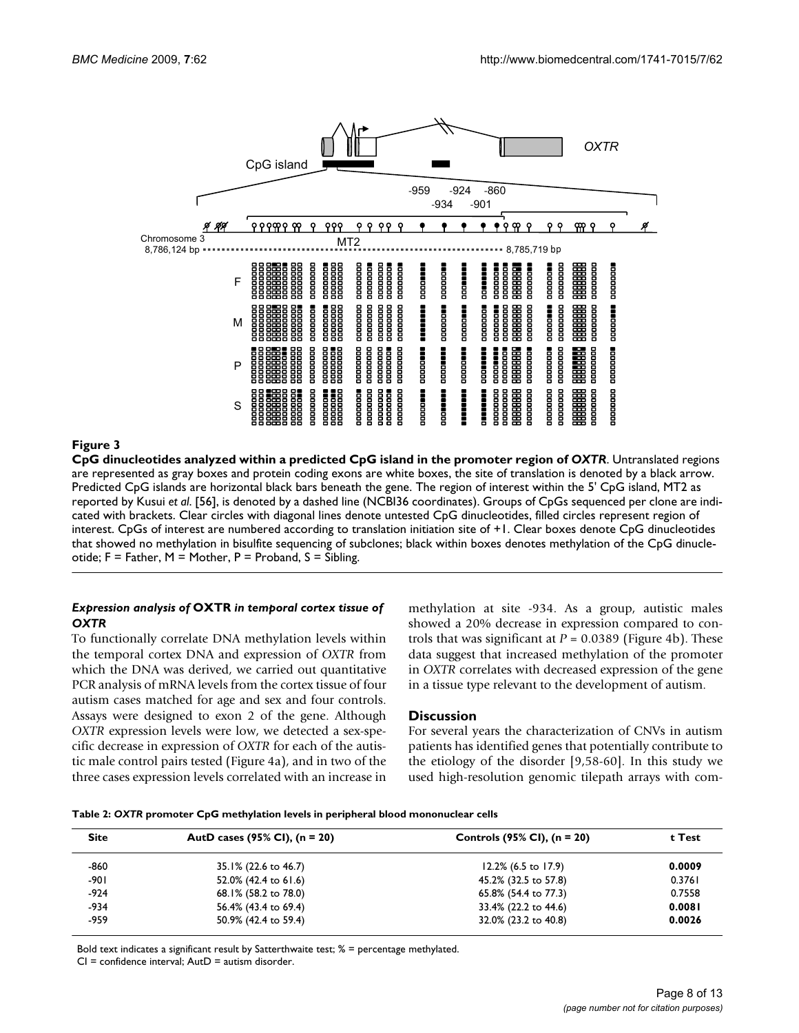

**CpG dinucleotides analyzed within a predicted CpG island in the promoter region of** *OXTR*. Untranslated regions are represented as gray boxes and protein coding exons are white boxes, the site of translation is denoted by a black arrow. Predicted CpG islands are horizontal black bars beneath the gene. The region of interest within the 5' CpG island, MT2 as reported by Kusui *et al*. [56], is denoted by a dashed line (NCBI36 coordinates). Groups of CpGs sequenced per clone are indicated with brackets. Clear circles with diagonal lines denote untested CpG dinucleotides, filled circles represent region of interest. CpGs of interest are numbered according to translation initiation site of +1. Clear boxes denote CpG dinucleotides that showed no methylation in bisulfite sequencing of subclones; black within boxes denotes methylation of the CpG dinucleotide; F = Father, M = Mother, P = Proband, S = Sibling.

## *Expression analysis of* **OXTR** *in temporal cortex tissue of OXTR*

To functionally correlate DNA methylation levels within the temporal cortex DNA and expression of *OXTR* from which the DNA was derived, we carried out quantitative PCR analysis of mRNA levels from the cortex tissue of four autism cases matched for age and sex and four controls. Assays were designed to exon 2 of the gene. Although *OXTR* expression levels were low, we detected a sex-specific decrease in expression of *OXTR* for each of the autistic male control pairs tested (Figure 4a), and in two of the three cases expression levels correlated with an increase in methylation at site -934. As a group, autistic males showed a 20% decrease in expression compared to controls that was significant at  $P = 0.0389$  (Figure 4b). These data suggest that increased methylation of the promoter in *OXTR* correlates with decreased expression of the gene in a tissue type relevant to the development of autism.

## **Discussion**

For several years the characterization of CNVs in autism patients has identified genes that potentially contribute to the etiology of the disorder [9,58-60]. In this study we used high-resolution genomic tilepath arrays with com-

| Table 2: OXTR promoter CpG methylation levels in peripheral blood mononuclear cells |
|-------------------------------------------------------------------------------------|
|-------------------------------------------------------------------------------------|

| <b>Site</b> | AutD cases (95% CI), $(n = 20)$ | Controls $(95\%$ CI), $(n = 20)$ | t Test |
|-------------|---------------------------------|----------------------------------|--------|
| -860        | 35.1% (22.6 to 46.7)            | $12.2\%$ (6.5 to 17.9)           | 0.0009 |
| -901        | 52.0% (42.4 to 61.6)            | 45.2% (32.5 to 57.8)             | 0.3761 |
| $-924$      | 68.1% (58.2 to 78.0)            | 65.8% (54.4 to 77.3)             | 0.7558 |
| $-934$      | 56.4% (43.4 to 69.4)            | 33.4% (22.2 to 44.6)             | 0.0081 |
| -959        | 50.9% (42.4 to 59.4)            | 32.0% (23.2 to 40.8)             | 0.0026 |

Bold text indicates a significant result by Satterthwaite test; % = percentage methylated.

 $CI =$  confidence interval;  $A$ ut $D =$  autism disorder.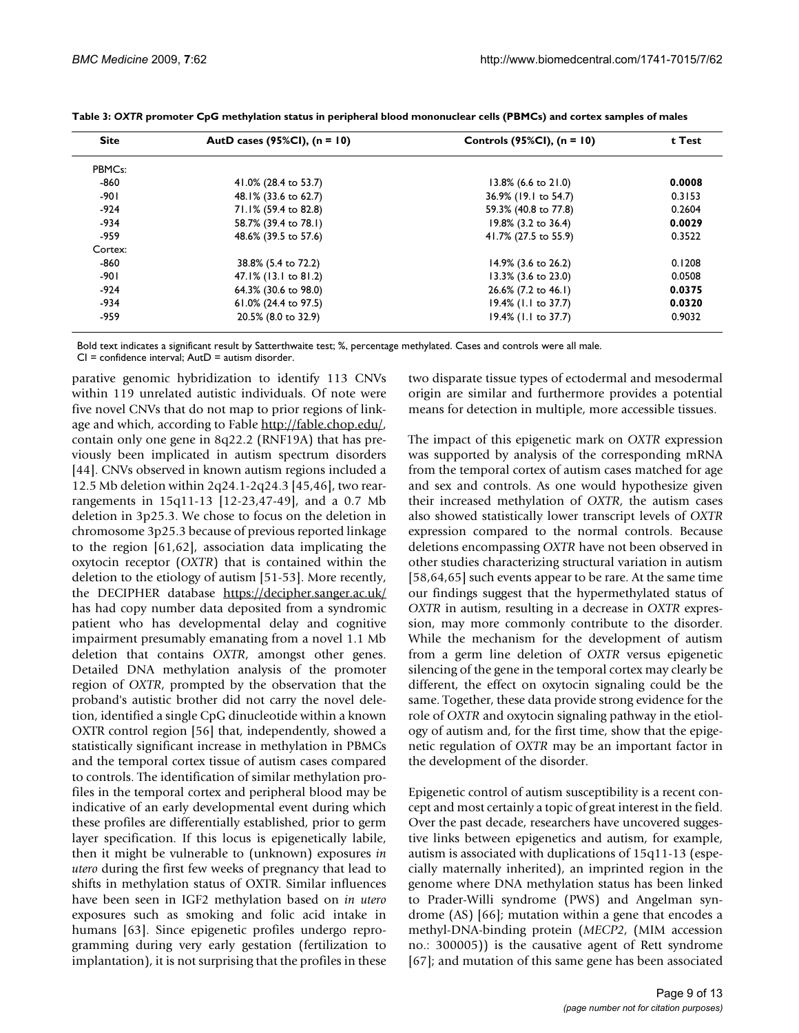| <b>Site</b>         | AutD cases (95%CI), $(n = 10)$ | Controls (95%CI), $(n = 10)$ | t Test |
|---------------------|--------------------------------|------------------------------|--------|
| PBMC <sub>s</sub> : |                                |                              |        |
| $-860$              | 41.0% (28.4 to 53.7)           | 13.8% (6.6 to 21.0)          | 0.0008 |
| $-901$              | 48.1% (33.6 to 62.7)           | 36.9% (19.1 to 54.7)         | 0.3153 |
| $-924$              | 71.1% (59.4 to 82.8)           | 59.3% (40.8 to 77.8)         | 0.2604 |
| $-934$              | 58.7% (39.4 to 78.1)           | 19.8% (3.2 to 36.4)          | 0.0029 |
| -959                | 48.6% (39.5 to 57.6)           | 41.7% (27.5 to 55.9)         | 0.3522 |
| Cortex:             |                                |                              |        |
| -860                | 38.8% (5.4 to 72.2)            | 14.9% (3.6 to 26.2)          | 0.1208 |
| $-901$              | 47.1% (13.1 to 81.2)           | 13.3% (3.6 to 23.0)          | 0.0508 |
| $-924$              | 64.3% (30.6 to 98.0)           | 26.6% (7.2 to 46.1)          | 0.0375 |
| $-934$              | 61.0% (24.4 to 97.5)           | 19.4% (1.1 to 37.7)          | 0.0320 |
| -959                | 20.5% (8.0 to 32.9)            | 19.4% (1.1 to 37.7)          | 0.9032 |

Bold text indicates a significant result by Satterthwaite test; %, percentage methylated. Cases and controls were all male.  $CI =$  confidence interval;  $AutD =$  autism disorder.

parative genomic hybridization to identify 113 CNVs within 119 unrelated autistic individuals. Of note were

five novel CNVs that do not map to prior regions of linkage and which, according to Fable [http://fable.chop.edu/,](http://fable.chop.edu/) contain only one gene in 8q22.2 (RNF19A) that has previously been implicated in autism spectrum disorders [44]. CNVs observed in known autism regions included a 12.5 Mb deletion within 2q24.1-2q24.3 [45,46], two rearrangements in 15q11-13 [12-23,47-49], and a 0.7 Mb deletion in 3p25.3. We chose to focus on the deletion in chromosome 3p25.3 because of previous reported linkage to the region [61,62], association data implicating the oxytocin receptor (*OXTR*) that is contained within the deletion to the etiology of autism [51-53]. More recently, the DECIPHER database <https://decipher.sanger.ac.uk/> has had copy number data deposited from a syndromic patient who has developmental delay and cognitive impairment presumably emanating from a novel 1.1 Mb deletion that contains *OXTR*, amongst other genes. Detailed DNA methylation analysis of the promoter region of *OXTR*, prompted by the observation that the proband's autistic brother did not carry the novel deletion, identified a single CpG dinucleotide within a known OXTR control region [56] that, independently, showed a statistically significant increase in methylation in PBMCs and the temporal cortex tissue of autism cases compared to controls. The identification of similar methylation profiles in the temporal cortex and peripheral blood may be indicative of an early developmental event during which these profiles are differentially established, prior to germ layer specification. If this locus is epigenetically labile, then it might be vulnerable to (unknown) exposures *in utero* during the first few weeks of pregnancy that lead to shifts in methylation status of OXTR. Similar influences have been seen in IGF2 methylation based on *in utero* exposures such as smoking and folic acid intake in humans [63]. Since epigenetic profiles undergo reprogramming during very early gestation (fertilization to implantation), it is not surprising that the profiles in these

two disparate tissue types of ectodermal and mesodermal origin are similar and furthermore provides a potential means for detection in multiple, more accessible tissues.

The impact of this epigenetic mark on *OXTR* expression was supported by analysis of the corresponding mRNA from the temporal cortex of autism cases matched for age and sex and controls. As one would hypothesize given their increased methylation of *OXTR*, the autism cases also showed statistically lower transcript levels of *OXTR* expression compared to the normal controls. Because deletions encompassing *OXTR* have not been observed in other studies characterizing structural variation in autism [58,64,65] such events appear to be rare. At the same time our findings suggest that the hypermethylated status of *OXTR* in autism, resulting in a decrease in *OXTR* expression, may more commonly contribute to the disorder. While the mechanism for the development of autism from a germ line deletion of *OXTR* versus epigenetic silencing of the gene in the temporal cortex may clearly be different, the effect on oxytocin signaling could be the same. Together, these data provide strong evidence for the role of *OXTR* and oxytocin signaling pathway in the etiology of autism and, for the first time, show that the epigenetic regulation of *OXTR* may be an important factor in the development of the disorder.

Epigenetic control of autism susceptibility is a recent concept and most certainly a topic of great interest in the field. Over the past decade, researchers have uncovered suggestive links between epigenetics and autism, for example, autism is associated with duplications of 15q11-13 (especially maternally inherited), an imprinted region in the genome where DNA methylation status has been linked to Prader-Willi syndrome (PWS) and Angelman syndrome (AS) [66]; mutation within a gene that encodes a methyl-DNA-binding protein (*MECP2*, (MIM accession no.: 300005)) is the causative agent of Rett syndrome [67]; and mutation of this same gene has been associated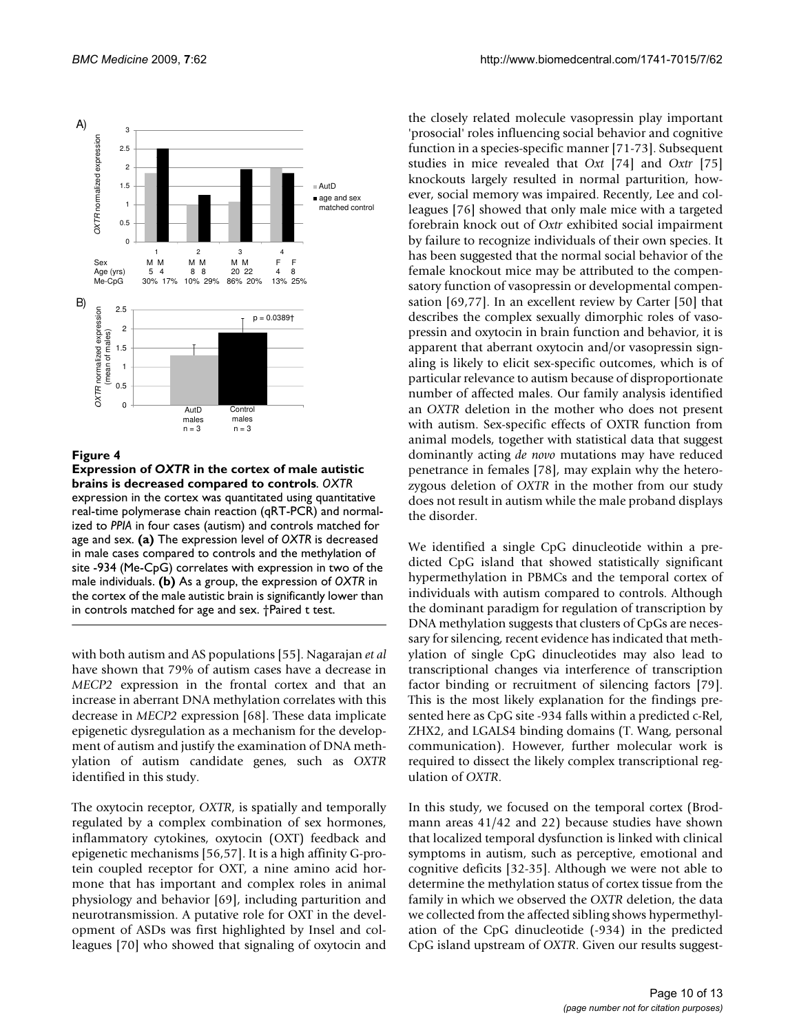

## Figure 4

**Expression of** *OXTR* **in the cortex of male autistic brains is decreased compared to controls**. *OXTR*  expression in the cortex was quantitated using quantitative real-time polymerase chain reaction (qRT-PCR) and normalized to *PPIA* in four cases (autism) and controls matched for age and sex. **(a)** The expression level of *OXTR* is decreased in male cases compared to controls and the methylation of site -934 (Me-CpG) correlates with expression in two of the male individuals. **(b)** As a group, the expression of *OXTR* in the cortex of the male autistic brain is significantly lower than in controls matched for age and sex. †Paired t test.

with both autism and AS populations [55]. Nagarajan *et al* have shown that 79% of autism cases have a decrease in *MECP2* expression in the frontal cortex and that an increase in aberrant DNA methylation correlates with this decrease in *MECP2* expression [68]. These data implicate epigenetic dysregulation as a mechanism for the development of autism and justify the examination of DNA methylation of autism candidate genes, such as *OXTR* identified in this study.

The oxytocin receptor, *OXTR*, is spatially and temporally regulated by a complex combination of sex hormones, inflammatory cytokines, oxytocin (OXT) feedback and epigenetic mechanisms [56,57]. It is a high affinity G-protein coupled receptor for OXT, a nine amino acid hormone that has important and complex roles in animal physiology and behavior [69], including parturition and neurotransmission. A putative role for OXT in the development of ASDs was first highlighted by Insel and colleagues [70] who showed that signaling of oxytocin and

the closely related molecule vasopressin play important 'prosocial' roles influencing social behavior and cognitive function in a species-specific manner [71-73]. Subsequent studies in mice revealed that *Oxt* [74] and *Oxtr* [75] knockouts largely resulted in normal parturition, however, social memory was impaired. Recently, Lee and colleagues [76] showed that only male mice with a targeted forebrain knock out of *Oxtr* exhibited social impairment by failure to recognize individuals of their own species. It has been suggested that the normal social behavior of the female knockout mice may be attributed to the compensatory function of vasopressin or developmental compensation [69,77]. In an excellent review by Carter [50] that describes the complex sexually dimorphic roles of vasopressin and oxytocin in brain function and behavior, it is apparent that aberrant oxytocin and/or vasopressin signaling is likely to elicit sex-specific outcomes, which is of particular relevance to autism because of disproportionate number of affected males. Our family analysis identified an *OXTR* deletion in the mother who does not present with autism. Sex-specific effects of OXTR function from animal models, together with statistical data that suggest dominantly acting *de novo* mutations may have reduced penetrance in females [78], may explain why the heterozygous deletion of *OXTR* in the mother from our study does not result in autism while the male proband displays the disorder.

We identified a single CpG dinucleotide within a predicted CpG island that showed statistically significant hypermethylation in PBMCs and the temporal cortex of individuals with autism compared to controls. Although the dominant paradigm for regulation of transcription by DNA methylation suggests that clusters of CpGs are necessary for silencing, recent evidence has indicated that methylation of single CpG dinucleotides may also lead to transcriptional changes via interference of transcription factor binding or recruitment of silencing factors [79]. This is the most likely explanation for the findings presented here as CpG site -934 falls within a predicted c-Rel, ZHX2, and LGALS4 binding domains (T. Wang, personal communication). However, further molecular work is required to dissect the likely complex transcriptional regulation of *OXTR*.

In this study, we focused on the temporal cortex (Brodmann areas 41/42 and 22) because studies have shown that localized temporal dysfunction is linked with clinical symptoms in autism, such as perceptive, emotional and cognitive deficits [32-35]. Although we were not able to determine the methylation status of cortex tissue from the family in which we observed the *OXTR* deletion, the data we collected from the affected sibling shows hypermethylation of the CpG dinucleotide (-934) in the predicted CpG island upstream of *OXTR*. Given our results suggest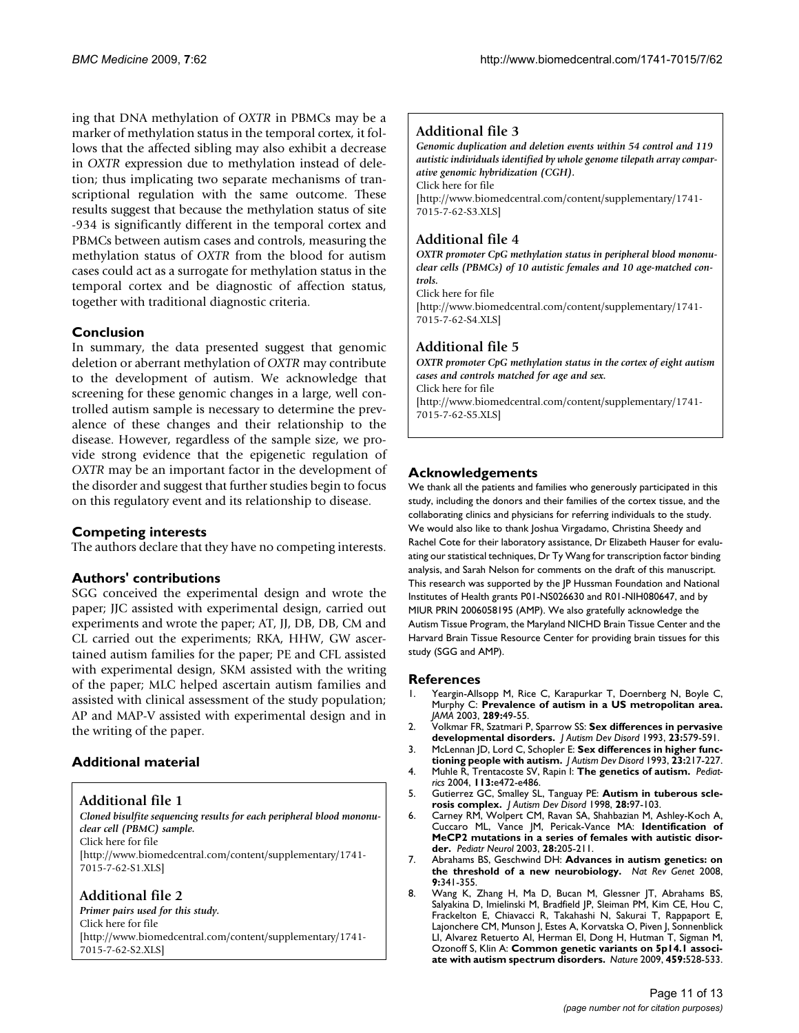ing that DNA methylation of *OXTR* in PBMCs may be a marker of methylation status in the temporal cortex, it follows that the affected sibling may also exhibit a decrease in *OXTR* expression due to methylation instead of deletion; thus implicating two separate mechanisms of transcriptional regulation with the same outcome. These results suggest that because the methylation status of site -934 is significantly different in the temporal cortex and PBMCs between autism cases and controls, measuring the methylation status of *OXTR* from the blood for autism cases could act as a surrogate for methylation status in the temporal cortex and be diagnostic of affection status, together with traditional diagnostic criteria.

## **Conclusion**

In summary, the data presented suggest that genomic deletion or aberrant methylation of *OXTR* may contribute to the development of autism. We acknowledge that screening for these genomic changes in a large, well controlled autism sample is necessary to determine the prevalence of these changes and their relationship to the disease. However, regardless of the sample size, we provide strong evidence that the epigenetic regulation of *OXTR* may be an important factor in the development of the disorder and suggest that further studies begin to focus on this regulatory event and its relationship to disease.

## **Competing interests**

The authors declare that they have no competing interests.

## **Authors' contributions**

SGG conceived the experimental design and wrote the paper; JJC assisted with experimental design, carried out experiments and wrote the paper; AT, JJ, DB, DB, CM and CL carried out the experiments; RKA, HHW, GW ascertained autism families for the paper; PE and CFL assisted with experimental design, SKM assisted with the writing of the paper; MLC helped ascertain autism families and assisted with clinical assessment of the study population; AP and MAP-V assisted with experimental design and in the writing of the paper.

## **Additional material**

**Additional file 1**

*Cloned bisulfite sequencing results for each peripheral blood mononuclear cell (PBMC) sample.* Click here for file [\[http://www.biomedcentral.com/content/supplementary/1741-](http://www.biomedcentral.com/content/supplementary/1741-7015-7-62-S1.XLS)

7015-7-62-S1.XLS]

## **Additional file 2**

*Primer pairs used for this study.* Click here for file [\[http://www.biomedcentral.com/content/supplementary/1741-](http://www.biomedcentral.com/content/supplementary/1741-7015-7-62-S2.XLS) 7015-7-62-S2.XLS]

## **Additional file 3**

*Genomic duplication and deletion events within 54 control and 119 autistic individuals identified by whole genome tilepath array comparative genomic hybridization (CGH).* Click here for file [\[http://www.biomedcentral.com/content/supplementary/1741-](http://www.biomedcentral.com/content/supplementary/1741-7015-7-62-S3.XLS) 7015-7-62-S3.XLS]

## **Additional file 4**

*OXTR promoter CpG methylation status in peripheral blood mononuclear cells (PBMCs) of 10 autistic females and 10 age-matched controls.* Click here for file

[\[http://www.biomedcentral.com/content/supplementary/1741-](http://www.biomedcentral.com/content/supplementary/1741-7015-7-62-S4.XLS) 7015-7-62-S4.XLS]

## **Additional file 5**

*OXTR promoter CpG methylation status in the cortex of eight autism cases and controls matched for age and sex.* Click here for file [\[http://www.biomedcentral.com/content/supplementary/1741-](http://www.biomedcentral.com/content/supplementary/1741-7015-7-62-S5.XLS) 7015-7-62-S5.XLS]

## **Acknowledgements**

We thank all the patients and families who generously participated in this study, including the donors and their families of the cortex tissue, and the collaborating clinics and physicians for referring individuals to the study. We would also like to thank Joshua Virgadamo, Christina Sheedy and Rachel Cote for their laboratory assistance, Dr Elizabeth Hauser for evaluating our statistical techniques, Dr Ty Wang for transcription factor binding analysis, and Sarah Nelson for comments on the draft of this manuscript. This research was supported by the JP Hussman Foundation and National Institutes of Health grants P01-NS026630 and R01-NIH080647, and by MIUR PRIN 2006058195 (AMP). We also gratefully acknowledge the Autism Tissue Program, the Maryland NICHD Brain Tissue Center and the Harvard Brain Tissue Resource Center for providing brain tissues for this study (SGG and AMP).

## **References**

- 1. Yeargin-Allsopp M, Rice C, Karapurkar T, Doernberg N, Boyle C, Murphy C: **[Prevalence of autism in a US metropolitan area.](http://www.ncbi.nlm.nih.gov/entrez/query.fcgi?cmd=Retrieve&db=PubMed&dopt=Abstract&list_uids=12503976)** *JAMA* 2003, **289:**49-55.
- 2. Volkmar FR, Szatmari P, Sparrow SS: **[Sex differences in pervasive](http://www.ncbi.nlm.nih.gov/entrez/query.fcgi?cmd=Retrieve&db=PubMed&dopt=Abstract&list_uids=8106301) [developmental disorders.](http://www.ncbi.nlm.nih.gov/entrez/query.fcgi?cmd=Retrieve&db=PubMed&dopt=Abstract&list_uids=8106301)** *J Autism Dev Disord* 1993, **23:**579-591.
- 3. McLennan JD, Lord C, Schopler E: **[Sex differences in higher func](http://www.ncbi.nlm.nih.gov/entrez/query.fcgi?cmd=Retrieve&db=PubMed&dopt=Abstract&list_uids=8331044)[tioning people with autism.](http://www.ncbi.nlm.nih.gov/entrez/query.fcgi?cmd=Retrieve&db=PubMed&dopt=Abstract&list_uids=8331044)** *J Autism Dev Disord* 1993, **23:**217-227.
- 4. Muhle R, Trentacoste SV, Rapin I: **[The genetics of autism.](http://www.ncbi.nlm.nih.gov/entrez/query.fcgi?cmd=Retrieve&db=PubMed&dopt=Abstract&list_uids=15121991)** *Pediatrics* 2004, **113:**e472-e486.
- 5. Gutierrez GC, Smalley SL, Tanguay PE: **[Autism in tuberous scle](http://www.ncbi.nlm.nih.gov/entrez/query.fcgi?cmd=Retrieve&db=PubMed&dopt=Abstract&list_uids=9586771)[rosis complex.](http://www.ncbi.nlm.nih.gov/entrez/query.fcgi?cmd=Retrieve&db=PubMed&dopt=Abstract&list_uids=9586771)** *J Autism Dev Disord* 1998, **28:**97-103.
- 6. Carney RM, Wolpert CM, Ravan SA, Shahbazian M, Ashley-Koch A, Cuccaro ML, Vance JM, Pericak-Vance MA: **[Identification of](http://www.ncbi.nlm.nih.gov/entrez/query.fcgi?cmd=Retrieve&db=PubMed&dopt=Abstract&list_uids=12770674) [MeCP2 mutations in a series of females with autistic disor](http://www.ncbi.nlm.nih.gov/entrez/query.fcgi?cmd=Retrieve&db=PubMed&dopt=Abstract&list_uids=12770674)[der.](http://www.ncbi.nlm.nih.gov/entrez/query.fcgi?cmd=Retrieve&db=PubMed&dopt=Abstract&list_uids=12770674)** *Pediatr Neurol* 2003, **28:**205-211.
- 7. Abrahams BS, Geschwind DH: **[Advances in autism genetics: on](http://www.ncbi.nlm.nih.gov/entrez/query.fcgi?cmd=Retrieve&db=PubMed&dopt=Abstract&list_uids=18414403) [the threshold of a new neurobiology.](http://www.ncbi.nlm.nih.gov/entrez/query.fcgi?cmd=Retrieve&db=PubMed&dopt=Abstract&list_uids=18414403)** *Nat Rev Genet* 2008, **9:**341-355.
- 8. Wang K, Zhang H, Ma D, Bucan M, Glessner JT, Abrahams BS, Salyakina D, Imielinski M, Bradfield JP, Sleiman PM, Kim CE, Hou C, Frackelton E, Chiavacci R, Takahashi N, Sakurai T, Rappaport E, Lajonchere CM, Munson J, Estes A, Korvatska O, Piven J, Sonnenblick LI, Alvarez Retuerto AI, Herman EI, Dong H, Hutman T, Sigman M, Ozonoff S, Klin A: **[Common genetic variants on 5p14.1 associ](http://www.ncbi.nlm.nih.gov/entrez/query.fcgi?cmd=Retrieve&db=PubMed&dopt=Abstract&list_uids=19404256)[ate with autism spectrum disorders.](http://www.ncbi.nlm.nih.gov/entrez/query.fcgi?cmd=Retrieve&db=PubMed&dopt=Abstract&list_uids=19404256)** *Nature* 2009, **459:**528-533.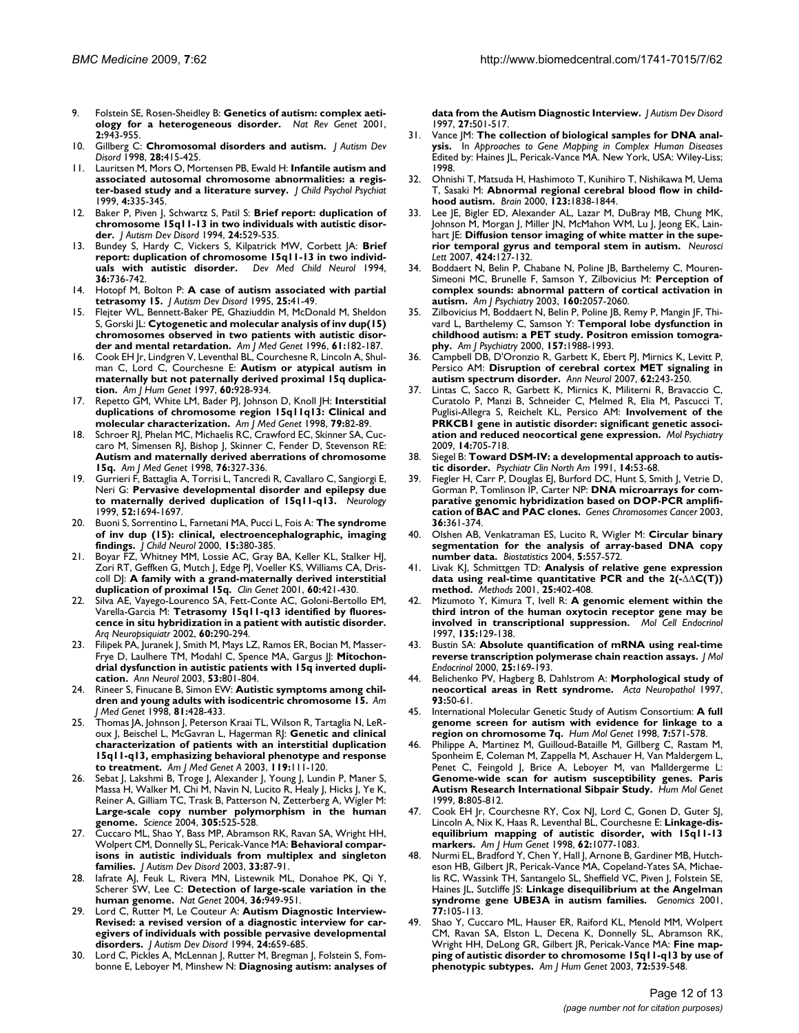- 9. Folstein SE, Rosen-Sheidley B: **[Genetics of autism: complex aeti](http://www.ncbi.nlm.nih.gov/entrez/query.fcgi?cmd=Retrieve&db=PubMed&dopt=Abstract&list_uids=11733747)[ology for a heterogeneous disorder.](http://www.ncbi.nlm.nih.gov/entrez/query.fcgi?cmd=Retrieve&db=PubMed&dopt=Abstract&list_uids=11733747)** *Nat Rev Genet* 2001, **2:**943-955.
- 10. Gillberg C: **[Chromosomal disorders and autism.](http://www.ncbi.nlm.nih.gov/entrez/query.fcgi?cmd=Retrieve&db=PubMed&dopt=Abstract&list_uids=9813777)** *J Autism Dev Disord* 1998, **28:**415-425.
- 11. Lauritsen M, Mors O, Mortensen PB, Ewald H: **Infantile autism and associated autosomal chromosome abnormalities: a register-based study and a literature survey.** *J Child Psychol Psychiat* 1999, **4:**335-345.
- 12. Baker P, Piven J, Schwartz S, Patil S: **[Brief report: duplication of](http://www.ncbi.nlm.nih.gov/entrez/query.fcgi?cmd=Retrieve&db=PubMed&dopt=Abstract&list_uids=7961335) [chromosome 15q11-13 in two individuals with autistic disor](http://www.ncbi.nlm.nih.gov/entrez/query.fcgi?cmd=Retrieve&db=PubMed&dopt=Abstract&list_uids=7961335)[der.](http://www.ncbi.nlm.nih.gov/entrez/query.fcgi?cmd=Retrieve&db=PubMed&dopt=Abstract&list_uids=7961335)** *J Autism Dev Disord* 1994, **24:**529-535.
- 13. Bundey S, Hardy C, Vickers S, Kilpatrick MW, Corbett JA: **[Brief](http://www.ncbi.nlm.nih.gov/entrez/query.fcgi?cmd=Retrieve&db=PubMed&dopt=Abstract&list_uids=8050626) [report: duplication of chromosome 15q11-13 in two individ](http://www.ncbi.nlm.nih.gov/entrez/query.fcgi?cmd=Retrieve&db=PubMed&dopt=Abstract&list_uids=8050626)[uals with autistic disorder.](http://www.ncbi.nlm.nih.gov/entrez/query.fcgi?cmd=Retrieve&db=PubMed&dopt=Abstract&list_uids=8050626)** *Dev Med Child Neurol* 1994, **36:**736-742.
- 14. Hotopf M, Bolton P: **[A case of autism associated with partial](http://www.ncbi.nlm.nih.gov/entrez/query.fcgi?cmd=Retrieve&db=PubMed&dopt=Abstract&list_uids=7608033) [tetrasomy 15.](http://www.ncbi.nlm.nih.gov/entrez/query.fcgi?cmd=Retrieve&db=PubMed&dopt=Abstract&list_uids=7608033)** *J Autism Dev Disord* 1995, **25:**41-49.
- 15. Flejter WL, Bennett-Baker PE, Ghaziuddin M, McDonald M, Sheldon S, Gorski JL: **[Cytogenetic and molecular analysis of inv dup\(15\)](http://www.ncbi.nlm.nih.gov/entrez/query.fcgi?cmd=Retrieve&db=PubMed&dopt=Abstract&list_uids=8669450) [chromosomes observed in two patients with autistic disor](http://www.ncbi.nlm.nih.gov/entrez/query.fcgi?cmd=Retrieve&db=PubMed&dopt=Abstract&list_uids=8669450)[der and mental retardation.](http://www.ncbi.nlm.nih.gov/entrez/query.fcgi?cmd=Retrieve&db=PubMed&dopt=Abstract&list_uids=8669450)** *Am J Med Genet* 1996, **61:**182-187.
- 16. Cook EH Jr, Lindgren V, Leventhal BL, Courchesne R, Lincoln A, Shulman C, Lord C, Courchesne E: **[Autism or atypical autism in](http://www.ncbi.nlm.nih.gov/entrez/query.fcgi?cmd=Retrieve&db=PubMed&dopt=Abstract&list_uids=9106540) [maternally but not paternally derived proximal 15q duplica](http://www.ncbi.nlm.nih.gov/entrez/query.fcgi?cmd=Retrieve&db=PubMed&dopt=Abstract&list_uids=9106540)[tion.](http://www.ncbi.nlm.nih.gov/entrez/query.fcgi?cmd=Retrieve&db=PubMed&dopt=Abstract&list_uids=9106540)** *Am J Hum Genet* 1997, **60:**928-934.
- 17. Repetto GM, White LM, Bader PJ, Johnson D, Knoll JH: **[Interstitial](http://www.ncbi.nlm.nih.gov/entrez/query.fcgi?cmd=Retrieve&db=PubMed&dopt=Abstract&list_uids=9741464) [duplications of chromosome region 15q11q13: Clinical and](http://www.ncbi.nlm.nih.gov/entrez/query.fcgi?cmd=Retrieve&db=PubMed&dopt=Abstract&list_uids=9741464) [molecular characterization.](http://www.ncbi.nlm.nih.gov/entrez/query.fcgi?cmd=Retrieve&db=PubMed&dopt=Abstract&list_uids=9741464)** *Am J Med Genet* 1998, **79:**82-89.
- 18. Schroer RJ, Phelan MC, Michaelis RC, Crawford EC, Skinner SA, Cuccaro M, Simensen RJ, Bishop J, Skinner C, Fender D, Stevenson RE: **[Autism and maternally derived aberrations of chromosome](http://www.ncbi.nlm.nih.gov/entrez/query.fcgi?cmd=Retrieve&db=PubMed&dopt=Abstract&list_uids=9545097) [15q.](http://www.ncbi.nlm.nih.gov/entrez/query.fcgi?cmd=Retrieve&db=PubMed&dopt=Abstract&list_uids=9545097)** *Am J Med Genet* 1998, **76:**327-336.
- 19. Gurrieri F, Battaglia A, Torrisi L, Tancredi R, Cavallaro C, Sangiorgi E, Neri G: **[Pervasive developmental disorder and epilepsy due](http://www.ncbi.nlm.nih.gov/entrez/query.fcgi?cmd=Retrieve&db=PubMed&dopt=Abstract&list_uids=10331703) [to maternally derived duplication of 15q11-q13.](http://www.ncbi.nlm.nih.gov/entrez/query.fcgi?cmd=Retrieve&db=PubMed&dopt=Abstract&list_uids=10331703)** *Neurology* 1999, **52:**1694-1697.
- 20. Buoni S, Sorrentino L, Farnetani MA, Pucci L, Fois A: **[The syndrome](http://www.ncbi.nlm.nih.gov/entrez/query.fcgi?cmd=Retrieve&db=PubMed&dopt=Abstract&list_uids=10868780) [of inv dup \(15\): clinical, electroencephalographic, imaging](http://www.ncbi.nlm.nih.gov/entrez/query.fcgi?cmd=Retrieve&db=PubMed&dopt=Abstract&list_uids=10868780) [findings.](http://www.ncbi.nlm.nih.gov/entrez/query.fcgi?cmd=Retrieve&db=PubMed&dopt=Abstract&list_uids=10868780)** *J Child Neurol* 2000, **15:**380-385.
- 21. Boyar FZ, Whitney MM, Lossie AC, Gray BA, Keller KL, Stalker HJ, Zori RT, Geffken G, Mutch J, Edge PJ, Voeller KS, Williams CA, Driscoll DJ: **[A family with a grand-maternally derived interstitial](http://www.ncbi.nlm.nih.gov/entrez/query.fcgi?cmd=Retrieve&db=PubMed&dopt=Abstract&list_uids=11846734) [duplication of proximal 15q.](http://www.ncbi.nlm.nih.gov/entrez/query.fcgi?cmd=Retrieve&db=PubMed&dopt=Abstract&list_uids=11846734)** *Clin Genet* 2001, **60:**421-430.
- Silva AE, Vayego-Lourenco SA, Fett-Conte AC, Goloni-Bertollo EM, Varella-Garcia M: **[Tetrasomy 15q11-q13 identified by fluores](http://www.ncbi.nlm.nih.gov/entrez/query.fcgi?cmd=Retrieve&db=PubMed&dopt=Abstract&list_uids=12068363)[cence in situ hybridization in a patient with autistic disorder.](http://www.ncbi.nlm.nih.gov/entrez/query.fcgi?cmd=Retrieve&db=PubMed&dopt=Abstract&list_uids=12068363)** *Arq Neuropsiquiatr* 2002, **60:**290-294.
- 23. Filipek PA, Juranek J, Smith M, Mays LZ, Ramos ER, Bocian M, Masser-Frye D, Laulhere TM, Modahl C, Spence MA, Gargus JJ: **[Mitochon](http://www.ncbi.nlm.nih.gov/entrez/query.fcgi?cmd=Retrieve&db=PubMed&dopt=Abstract&list_uids=12783428)[drial dysfunction in autistic patients with 15q inverted dupli](http://www.ncbi.nlm.nih.gov/entrez/query.fcgi?cmd=Retrieve&db=PubMed&dopt=Abstract&list_uids=12783428)[cation.](http://www.ncbi.nlm.nih.gov/entrez/query.fcgi?cmd=Retrieve&db=PubMed&dopt=Abstract&list_uids=12783428)** *Ann Neurol* 2003, **53:**801-804.
- 24. Rineer S, Finucane B, Simon EW: **[Autistic symptoms among chil](http://www.ncbi.nlm.nih.gov/entrez/query.fcgi?cmd=Retrieve&db=PubMed&dopt=Abstract&list_uids=9754629)[dren and young adults with isodicentric chromosome 15.](http://www.ncbi.nlm.nih.gov/entrez/query.fcgi?cmd=Retrieve&db=PubMed&dopt=Abstract&list_uids=9754629)** *Am J Med Genet* 1998, **81:**428-433.
- 25. Thomas JA, Johnson J, Peterson Kraai TL, Wilson R, Tartaglia N, LeRoux J, Beischel L, McGavran L, Hagerman RJ: **Genetic and clinical characterization of patients with an interstitial duplication 15q11-q13, emphasizing behavioral phenotype and response to treatment.** *Am J Med Genet A* 2003, **119:**111-120.
- 26. Sebat J, Lakshmi B, Troge J, Alexander J, Young J, Lundin P, Maner S, Massa H, Walker M, Chi M, Navin N, Lucito R, Healy J, Hicks J, Ye K, Reiner A, Gilliam TC, Trask B, Patterson N, Zetterberg A, Wigler M: **[Large-scale copy number polymorphism in the human](http://www.ncbi.nlm.nih.gov/entrez/query.fcgi?cmd=Retrieve&db=PubMed&dopt=Abstract&list_uids=15273396) [genome.](http://www.ncbi.nlm.nih.gov/entrez/query.fcgi?cmd=Retrieve&db=PubMed&dopt=Abstract&list_uids=15273396)** *Science* 2004, **305:**525-528.
- 27. Cuccaro ML, Shao Y, Bass MP, Abramson RK, Ravan SA, Wright HH, Wolpert CM, Donnelly SL, Pericak-Vance MA: **[Behavioral compar](http://www.ncbi.nlm.nih.gov/entrez/query.fcgi?cmd=Retrieve&db=PubMed&dopt=Abstract&list_uids=12708583)[isons in autistic individuals from multiplex and singleton](http://www.ncbi.nlm.nih.gov/entrez/query.fcgi?cmd=Retrieve&db=PubMed&dopt=Abstract&list_uids=12708583) [families.](http://www.ncbi.nlm.nih.gov/entrez/query.fcgi?cmd=Retrieve&db=PubMed&dopt=Abstract&list_uids=12708583)** *J Autism Dev Disord* 2003, **33:**87-91.
- 28. Iafrate AJ, Feuk L, Rivera MN, Listewnik ML, Donahoe PK, Qi Y, Scherer SW, Lee C: **[Detection of large-scale variation in the](http://www.ncbi.nlm.nih.gov/entrez/query.fcgi?cmd=Retrieve&db=PubMed&dopt=Abstract&list_uids=15286789) [human genome.](http://www.ncbi.nlm.nih.gov/entrez/query.fcgi?cmd=Retrieve&db=PubMed&dopt=Abstract&list_uids=15286789)** *Nat Genet* 2004, **36:**949-951.
- 29. Lord C, Rutter M, Le Couteur A: **[Autism Diagnostic Interview-](http://www.ncbi.nlm.nih.gov/entrez/query.fcgi?cmd=Retrieve&db=PubMed&dopt=Abstract&list_uids=7814313)[Revised: a revised version of a diagnostic interview for car](http://www.ncbi.nlm.nih.gov/entrez/query.fcgi?cmd=Retrieve&db=PubMed&dopt=Abstract&list_uids=7814313)egivers of individuals with possible pervasive developmental [disorders.](http://www.ncbi.nlm.nih.gov/entrez/query.fcgi?cmd=Retrieve&db=PubMed&dopt=Abstract&list_uids=7814313)** *J Autism Dev Disord* 1994, **24:**659-685.
- 30. Lord C, Pickles A, McLennan J, Rutter M, Bregman J, Folstein S, Fombonne E, Leboyer M, Minshew N: **[Diagnosing autism: analyses of](http://www.ncbi.nlm.nih.gov/entrez/query.fcgi?cmd=Retrieve&db=PubMed&dopt=Abstract&list_uids=9403369)**

**[data from the Autism Diagnostic Interview.](http://www.ncbi.nlm.nih.gov/entrez/query.fcgi?cmd=Retrieve&db=PubMed&dopt=Abstract&list_uids=9403369)** *J Autism Dev Disord* 1997, **27:**501-517.

- 31. Vance JM: **The collection of biological samples for DNA analysis.** In *Approaches to Gene Mapping in Complex Human Diseases* Edited by: Haines JL, Pericak-Vance MA. New York, USA: Wiley-Liss; 1998.
- 32. Ohnishi T, Matsuda H, Hashimoto T, Kunihiro T, Nishikawa M, Uema T, Sasaki M: **[Abnormal regional cerebral blood flow in child](http://www.ncbi.nlm.nih.gov/entrez/query.fcgi?cmd=Retrieve&db=PubMed&dopt=Abstract&list_uids=10960047)[hood autism.](http://www.ncbi.nlm.nih.gov/entrez/query.fcgi?cmd=Retrieve&db=PubMed&dopt=Abstract&list_uids=10960047)** *Brain* 2000, **123:**1838-1844.
- 33. Lee JE, Bigler ED, Alexander AL, Lazar M, DuBray MB, Chung MK, Johnson M, Morgan J, Miller JN, McMahon WM, Lu J, Jeong EK, Lainhart JE: **[Diffusion tensor imaging of white matter in the supe](http://www.ncbi.nlm.nih.gov/entrez/query.fcgi?cmd=Retrieve&db=PubMed&dopt=Abstract&list_uids=17714869)[rior temporal gyrus and temporal stem in autism.](http://www.ncbi.nlm.nih.gov/entrez/query.fcgi?cmd=Retrieve&db=PubMed&dopt=Abstract&list_uids=17714869)** *Neurosci Lett* 2007, **424:**127-132.
- 34. Boddaert N, Belin P, Chabane N, Poline JB, Barthelemy C, Mouren-Simeoni MC, Brunelle F, Samson Y, Zilbovicius M: **[Perception of](http://www.ncbi.nlm.nih.gov/entrez/query.fcgi?cmd=Retrieve&db=PubMed&dopt=Abstract&list_uids=14594758) [complex sounds: abnormal pattern of cortical activation in](http://www.ncbi.nlm.nih.gov/entrez/query.fcgi?cmd=Retrieve&db=PubMed&dopt=Abstract&list_uids=14594758) [autism.](http://www.ncbi.nlm.nih.gov/entrez/query.fcgi?cmd=Retrieve&db=PubMed&dopt=Abstract&list_uids=14594758)** *Am J Psychiatry* 2003, **160:**2057-2060.
- 35. Zilbovicius M, Boddaert N, Belin P, Poline JB, Remy P, Mangin JF, Thivard L, Barthelemy C, Samson Y: **[Temporal lobe dysfunction in](http://www.ncbi.nlm.nih.gov/entrez/query.fcgi?cmd=Retrieve&db=PubMed&dopt=Abstract&list_uids=11097965) [childhood autism: a PET study. Positron emission tomogra](http://www.ncbi.nlm.nih.gov/entrez/query.fcgi?cmd=Retrieve&db=PubMed&dopt=Abstract&list_uids=11097965)[phy.](http://www.ncbi.nlm.nih.gov/entrez/query.fcgi?cmd=Retrieve&db=PubMed&dopt=Abstract&list_uids=11097965)** *Am J Psychiatry* 2000, **157:**1988-1993.
- 36. Campbell DB, D'Oronzio R, Garbett K, Ebert PJ, Mirnics K, Levitt P, Persico AM: **[Disruption of cerebral cortex MET signaling in](http://www.ncbi.nlm.nih.gov/entrez/query.fcgi?cmd=Retrieve&db=PubMed&dopt=Abstract&list_uids=17696172) [autism spectrum disorder.](http://www.ncbi.nlm.nih.gov/entrez/query.fcgi?cmd=Retrieve&db=PubMed&dopt=Abstract&list_uids=17696172)** *Ann Neurol* 2007, **62:**243-250.
- 37. Lintas C, Sacco R, Garbett K, Mirnics K, Militerni R, Bravaccio C, Curatolo P, Manzi B, Schneider C, Melmed R, Elia M, Pascucci T, Puglisi-Allegra S, Reichelt KL, Persico AM: **[Involvement of the](http://www.ncbi.nlm.nih.gov/entrez/query.fcgi?cmd=Retrieve&db=PubMed&dopt=Abstract&list_uids=18317465) [PRKCB1 gene in autistic disorder: significant genetic associ](http://www.ncbi.nlm.nih.gov/entrez/query.fcgi?cmd=Retrieve&db=PubMed&dopt=Abstract&list_uids=18317465)[ation and reduced neocortical gene expression.](http://www.ncbi.nlm.nih.gov/entrez/query.fcgi?cmd=Retrieve&db=PubMed&dopt=Abstract&list_uids=18317465)** *Mol Psychiatry* 2009, **14:**705-718.
- Siegel B: [Toward DSM-IV: a developmental approach to autis](http://www.ncbi.nlm.nih.gov/entrez/query.fcgi?cmd=Retrieve&db=PubMed&dopt=Abstract&list_uids=2047332)**[tic disorder.](http://www.ncbi.nlm.nih.gov/entrez/query.fcgi?cmd=Retrieve&db=PubMed&dopt=Abstract&list_uids=2047332)** *Psychiatr Clin North Am* 1991, **14:**53-68.
- 39. Fiegler H, Carr P, Douglas EJ, Burford DC, Hunt S, Smith J, Vetrie D, Gorman P, Tomlinson IP, Carter NP: **[DNA microarrays for com](http://www.ncbi.nlm.nih.gov/entrez/query.fcgi?cmd=Retrieve&db=PubMed&dopt=Abstract&list_uids=12619160)[parative genomic hybridization based on DOP-PCR amplifi](http://www.ncbi.nlm.nih.gov/entrez/query.fcgi?cmd=Retrieve&db=PubMed&dopt=Abstract&list_uids=12619160)[cation of BAC and PAC clones.](http://www.ncbi.nlm.nih.gov/entrez/query.fcgi?cmd=Retrieve&db=PubMed&dopt=Abstract&list_uids=12619160)** *Genes Chromosomes Cancer* 2003, **36:**361-374.
- 40. Olshen AB, Venkatraman ES, Lucito R, Wigler M: **[Circular binary](http://www.ncbi.nlm.nih.gov/entrez/query.fcgi?cmd=Retrieve&db=PubMed&dopt=Abstract&list_uids=15475419) [segmentation for the analysis of array-based DNA copy](http://www.ncbi.nlm.nih.gov/entrez/query.fcgi?cmd=Retrieve&db=PubMed&dopt=Abstract&list_uids=15475419) [number data.](http://www.ncbi.nlm.nih.gov/entrez/query.fcgi?cmd=Retrieve&db=PubMed&dopt=Abstract&list_uids=15475419)** *Biostatistics* 2004, **5:**557-572.
- 41. Livak KJ, Schmittgen TD: **Analysis of relative gene expression data using real-time quantitative PCR and the 2(-**ΔΔ**[C\(T\)\)](http://www.ncbi.nlm.nih.gov/entrez/query.fcgi?cmd=Retrieve&db=PubMed&dopt=Abstract&list_uids=11846609) [method.](http://www.ncbi.nlm.nih.gov/entrez/query.fcgi?cmd=Retrieve&db=PubMed&dopt=Abstract&list_uids=11846609)** *Methods* 2001, **25:**402-408.
- Mizumoto Y, Kimura T, Ivell R: [A genomic element within the](http://www.ncbi.nlm.nih.gov/entrez/query.fcgi?cmd=Retrieve&db=PubMed&dopt=Abstract&list_uids=9484908) **[third intron of the human oxytocin receptor gene may be](http://www.ncbi.nlm.nih.gov/entrez/query.fcgi?cmd=Retrieve&db=PubMed&dopt=Abstract&list_uids=9484908) [involved in transcriptional suppression.](http://www.ncbi.nlm.nih.gov/entrez/query.fcgi?cmd=Retrieve&db=PubMed&dopt=Abstract&list_uids=9484908)** *Mol Cell Endocrinol* 1997, **135:**129-138.
- 43. Bustin SA: **[Absolute quantification of mRNA using real-time](http://www.ncbi.nlm.nih.gov/entrez/query.fcgi?cmd=Retrieve&db=PubMed&dopt=Abstract&list_uids=11013345) [reverse transcription polymerase chain reaction assays.](http://www.ncbi.nlm.nih.gov/entrez/query.fcgi?cmd=Retrieve&db=PubMed&dopt=Abstract&list_uids=11013345)** *J Mol Endocrinol* 2000, **25:**169-193.
- 44. Belichenko PV, Hagberg B, Dahlstrom A: **[Morphological study of](http://www.ncbi.nlm.nih.gov/entrez/query.fcgi?cmd=Retrieve&db=PubMed&dopt=Abstract&list_uids=9006657) [neocortical areas in Rett syndrome.](http://www.ncbi.nlm.nih.gov/entrez/query.fcgi?cmd=Retrieve&db=PubMed&dopt=Abstract&list_uids=9006657)** *Acta Neuropathol* 1997, **93:**50-61.
- 45. International Molecular Genetic Study of Autism Consortium: **[A full](http://www.ncbi.nlm.nih.gov/entrez/query.fcgi?cmd=Retrieve&db=PubMed&dopt=Abstract&list_uids=9546821) [genome screen for autism with evidence for linkage to a](http://www.ncbi.nlm.nih.gov/entrez/query.fcgi?cmd=Retrieve&db=PubMed&dopt=Abstract&list_uids=9546821) [region on chromosome 7q.](http://www.ncbi.nlm.nih.gov/entrez/query.fcgi?cmd=Retrieve&db=PubMed&dopt=Abstract&list_uids=9546821)** *Hum Mol Genet* 1998, **7:**571-578.
- 46. Philippe A, Martinez M, Guilloud-Bataille M, Gillberg C, Rastam M, Sponheim E, Coleman M, Zappella M, Aschauer H, Van Maldergem L, Penet C, Feingold J, Brice A, Leboyer M, van Malldergerme L: **[Genome-wide scan for autism susceptibility genes. Paris](http://www.ncbi.nlm.nih.gov/entrez/query.fcgi?cmd=Retrieve&db=PubMed&dopt=Abstract&list_uids=10196369) [Autism Research International Sibpair Study.](http://www.ncbi.nlm.nih.gov/entrez/query.fcgi?cmd=Retrieve&db=PubMed&dopt=Abstract&list_uids=10196369)** *Hum Mol Genet* 1999, **8:**805-812.
- 47. Cook EH Jr, Courchesne RY, Cox NJ, Lord C, Gonen D, Guter SJ, Lincoln A, Nix K, Haas R, Leventhal BL, Courchesne E: **[Linkage-dis](http://www.ncbi.nlm.nih.gov/entrez/query.fcgi?cmd=Retrieve&db=PubMed&dopt=Abstract&list_uids=9545402)[equilibrium mapping of autistic disorder, with 15q11-13](http://www.ncbi.nlm.nih.gov/entrez/query.fcgi?cmd=Retrieve&db=PubMed&dopt=Abstract&list_uids=9545402) [markers.](http://www.ncbi.nlm.nih.gov/entrez/query.fcgi?cmd=Retrieve&db=PubMed&dopt=Abstract&list_uids=9545402)** *Am J Hum Genet* 1998, **62:**1077-1083.
- 48. Nurmi EL, Bradford Y, Chen Y, Hall J, Arnone B, Gardiner MB, Hutcheson HB, Gilbert JR, Pericak-Vance MA, Copeland-Yates SA, Michaelis RC, Wassink TH, Santangelo SL, Sheffield VC, Piven J, Folstein SE, Haines JL, Sutcliffe JS: **[Linkage disequilibrium at the Angelman](http://www.ncbi.nlm.nih.gov/entrez/query.fcgi?cmd=Retrieve&db=PubMed&dopt=Abstract&list_uids=11543639) [syndrome gene UBE3A in autism families.](http://www.ncbi.nlm.nih.gov/entrez/query.fcgi?cmd=Retrieve&db=PubMed&dopt=Abstract&list_uids=11543639)** *Genomics* 2001, **77:**105-113.
- 49. Shao Y, Cuccaro ML, Hauser ER, Raiford KL, Menold MM, Wolpert CM, Ravan SA, Elston L, Decena K, Donnelly SL, Abramson RK, Wright HH, DeLong GR, Gilbert JR, Pericak-Vance MA: **[Fine map](http://www.ncbi.nlm.nih.gov/entrez/query.fcgi?cmd=Retrieve&db=PubMed&dopt=Abstract&list_uids=12567325)[ping of autistic disorder to chromosome 15q11-q13 by use of](http://www.ncbi.nlm.nih.gov/entrez/query.fcgi?cmd=Retrieve&db=PubMed&dopt=Abstract&list_uids=12567325) [phenotypic subtypes.](http://www.ncbi.nlm.nih.gov/entrez/query.fcgi?cmd=Retrieve&db=PubMed&dopt=Abstract&list_uids=12567325)** *Am J Hum Genet* 2003, **72:**539-548.